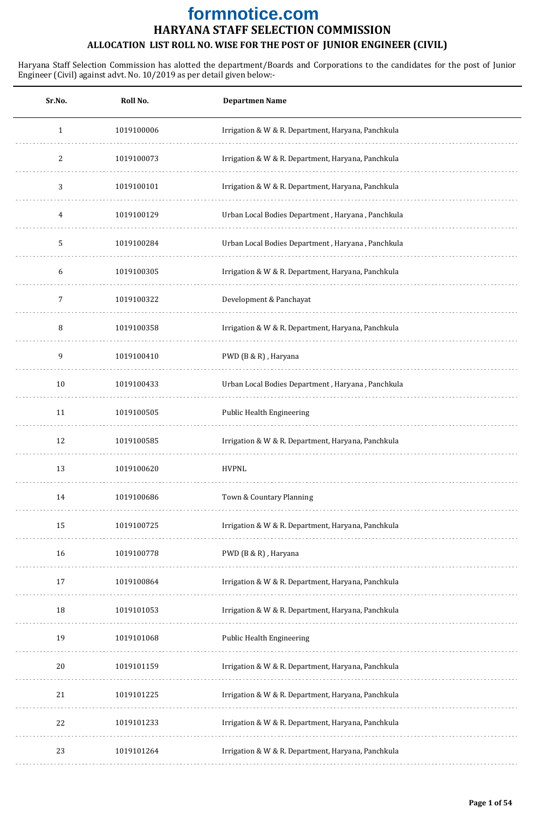| Sr.No.       | Roll No.   | <b>Departmen Name</b>                              |
|--------------|------------|----------------------------------------------------|
| $\mathbf{1}$ | 1019100006 | Irrigation & W & R. Department, Haryana, Panchkula |
| 2            | 1019100073 | Irrigation & W & R. Department, Haryana, Panchkula |
| 3            | 1019100101 | Irrigation & W & R. Department, Haryana, Panchkula |
| 4            | 1019100129 | Urban Local Bodies Department, Haryana, Panchkula  |
| 5            | 1019100284 | Urban Local Bodies Department, Haryana, Panchkula  |
| 6            | 1019100305 | Irrigation & W & R. Department, Haryana, Panchkula |
| 7            | 1019100322 | Development & Panchayat                            |
| 8            | 1019100358 | Irrigation & W & R. Department, Haryana, Panchkula |
| 9            | 1019100410 | PWD (B & R), Haryana                               |
| 10           | 1019100433 | Urban Local Bodies Department, Haryana, Panchkula  |
| 11           | 1019100505 | Public Health Engineering                          |
| 12           | 1019100585 | Irrigation & W & R. Department, Haryana, Panchkula |
| 13           | 1019100620 | <b>HVPNL</b>                                       |
| 14           | 1019100686 | Town & Countary Planning                           |
| 15           | 1019100725 | Irrigation & W & R. Department, Haryana, Panchkula |
| 16           | 1019100778 | PWD (B & R), Haryana                               |
| 17           | 1019100864 | Irrigation & W & R. Department, Haryana, Panchkula |
| 18           | 1019101053 | Irrigation & W & R. Department, Haryana, Panchkula |
| 19           | 1019101068 | Public Health Engineering                          |
| 20           | 1019101159 | Irrigation & W & R. Department, Haryana, Panchkula |
| 21           | 1019101225 | Irrigation & W & R. Department, Haryana, Panchkula |
| 22           | 1019101233 | Irrigation & W & R. Department, Haryana, Panchkula |
| 23           | 1019101264 | Irrigation & W & R. Department, Haryana, Panchkula |
|              |            |                                                    |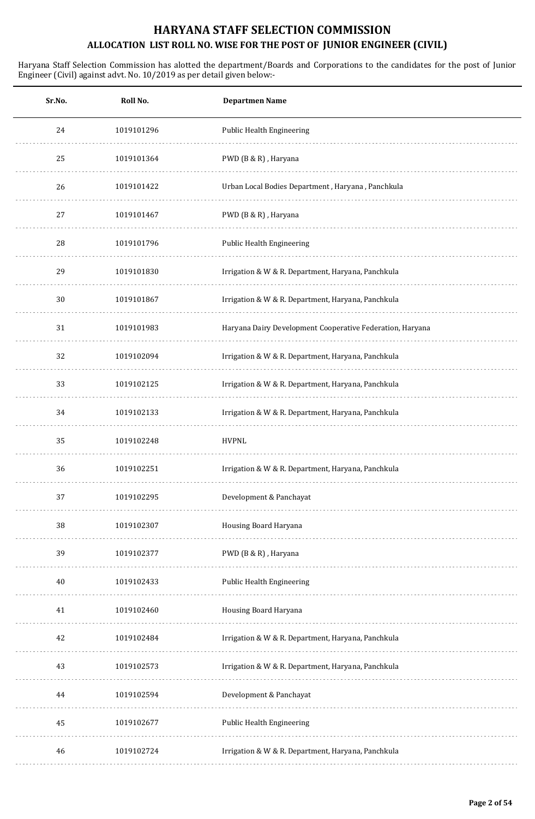| Sr.No. | Roll No.   | <b>Departmen Name</b>                                     |
|--------|------------|-----------------------------------------------------------|
| 24     | 1019101296 | Public Health Engineering                                 |
| 25     | 1019101364 | PWD (B & R), Haryana                                      |
| 26     | 1019101422 | Urban Local Bodies Department, Haryana, Panchkula         |
| 27     | 1019101467 | PWD (B & R), Haryana                                      |
| 28     | 1019101796 | Public Health Engineering                                 |
| 29     | 1019101830 | Irrigation & W & R. Department, Haryana, Panchkula        |
| 30     | 1019101867 | Irrigation & W & R. Department, Haryana, Panchkula        |
| 31     | 1019101983 | Haryana Dairy Development Cooperative Federation, Haryana |
| 32     | 1019102094 | Irrigation & W & R. Department, Haryana, Panchkula        |
| 33     | 1019102125 | Irrigation & W & R. Department, Haryana, Panchkula        |
| 34     | 1019102133 | Irrigation & W & R. Department, Haryana, Panchkula        |
| 35     | 1019102248 | <b>HVPNL</b>                                              |
| 36     | 1019102251 | Irrigation & W & R. Department, Haryana, Panchkula        |
| 37     | 1019102295 | Development & Panchayat                                   |
| 38     | 1019102307 | Housing Board Haryana                                     |
| 39     | 1019102377 | PWD (B & R), Haryana                                      |
| $40\,$ | 1019102433 | Public Health Engineering                                 |
| 41     | 1019102460 | Housing Board Haryana                                     |
| 42     | 1019102484 | Irrigation & W & R. Department, Haryana, Panchkula        |
| 43     | 1019102573 | Irrigation & W & R. Department, Haryana, Panchkula        |
| 44     | 1019102594 | Development & Panchayat                                   |
| 45     | 1019102677 | Public Health Engineering                                 |
| 46     | 1019102724 | Irrigation & W & R. Department, Haryana, Panchkula        |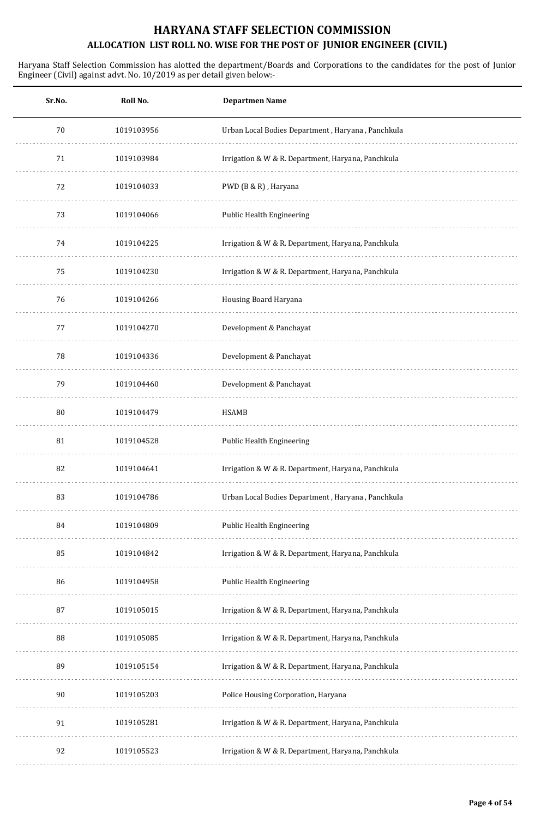| Sr.No. | Roll No.   | <b>Departmen Name</b>                              |
|--------|------------|----------------------------------------------------|
| 70     | 1019103956 | Urban Local Bodies Department, Haryana, Panchkula  |
| 71     | 1019103984 | Irrigation & W & R. Department, Haryana, Panchkula |
| 72     | 1019104033 | PWD (B & R), Haryana                               |
| 73     | 1019104066 | Public Health Engineering                          |
| 74     | 1019104225 | Irrigation & W & R. Department, Haryana, Panchkula |
| 75     | 1019104230 | Irrigation & W & R. Department, Haryana, Panchkula |
| 76     | 1019104266 | Housing Board Haryana                              |
| 77     | 1019104270 | Development & Panchayat                            |
| 78     | 1019104336 | Development & Panchayat                            |
| 79     | 1019104460 | Development & Panchayat                            |
| 80     | 1019104479 | <b>HSAMB</b>                                       |
| 81     | 1019104528 | <b>Public Health Engineering</b>                   |
| 82     | 1019104641 | Irrigation & W & R. Department, Haryana, Panchkula |
| 83     | 1019104786 | Urban Local Bodies Department, Haryana, Panchkula  |
| 84     | 1019104809 | Public Health Engineering                          |
| 85     | 1019104842 | Irrigation & W & R. Department, Haryana, Panchkula |
| 86     | 1019104958 | Public Health Engineering                          |
| 87     | 1019105015 | Irrigation & W & R. Department, Haryana, Panchkula |
| 88     | 1019105085 | Irrigation & W & R. Department, Haryana, Panchkula |
| 89     | 1019105154 | Irrigation & W & R. Department, Haryana, Panchkula |
| 90     | 1019105203 | Police Housing Corporation, Haryana                |
| 91     | 1019105281 | Irrigation & W & R. Department, Haryana, Panchkula |
| 92     | 1019105523 | Irrigation & W & R. Department, Haryana, Panchkula |
|        |            |                                                    |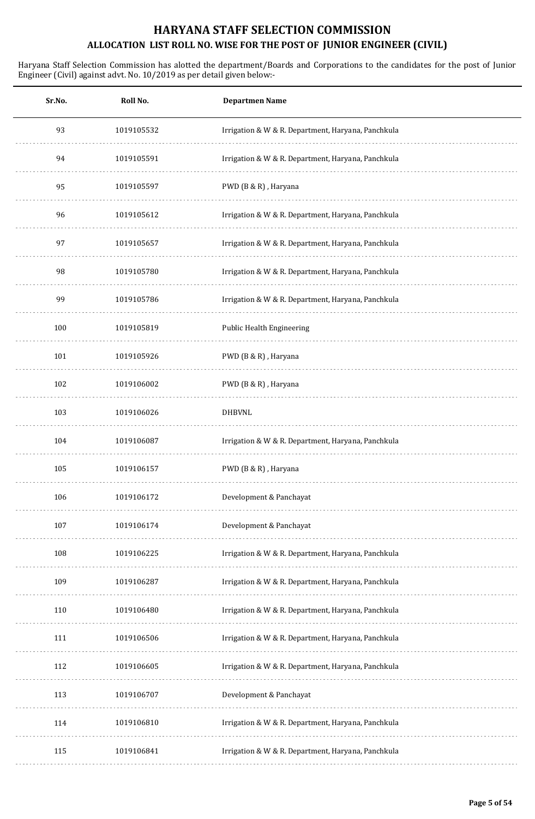| Sr.No. | Roll No.   | <b>Departmen Name</b>                              |
|--------|------------|----------------------------------------------------|
| 93     | 1019105532 | Irrigation & W & R. Department, Haryana, Panchkula |
| 94     | 1019105591 | Irrigation & W & R. Department, Haryana, Panchkula |
| 95     | 1019105597 | PWD (B & R), Haryana                               |
| 96     | 1019105612 | Irrigation & W & R. Department, Haryana, Panchkula |
| 97     | 1019105657 | Irrigation & W & R. Department, Haryana, Panchkula |
| 98     | 1019105780 | Irrigation & W & R. Department, Haryana, Panchkula |
| 99     | 1019105786 | Irrigation & W & R. Department, Haryana, Panchkula |
| 100    | 1019105819 | Public Health Engineering                          |
| 101    | 1019105926 | PWD (B & R), Haryana                               |
| 102    | 1019106002 | PWD (B & R), Haryana                               |
| 103    | 1019106026 | <b>DHBVNL</b>                                      |
| 104    | 1019106087 | Irrigation & W & R. Department, Haryana, Panchkula |
| 105    | 1019106157 | PWD (B & R), Haryana                               |
| 106    | 1019106172 | Development & Panchayat                            |
| 107    | 1019106174 | Development & Panchayat                            |
| 108    | 1019106225 | Irrigation & W & R. Department, Haryana, Panchkula |
| 109    | 1019106287 | Irrigation & W & R. Department, Haryana, Panchkula |
| 110    | 1019106480 | Irrigation & W & R. Department, Haryana, Panchkula |
| 111    | 1019106506 | Irrigation & W & R. Department, Haryana, Panchkula |
| 112    | 1019106605 | Irrigation & W & R. Department, Haryana, Panchkula |
| 113    | 1019106707 | Development & Panchayat                            |
| 114    | 1019106810 | Irrigation & W & R. Department, Haryana, Panchkula |
| 115    | 1019106841 | Irrigation & W & R. Department, Haryana, Panchkula |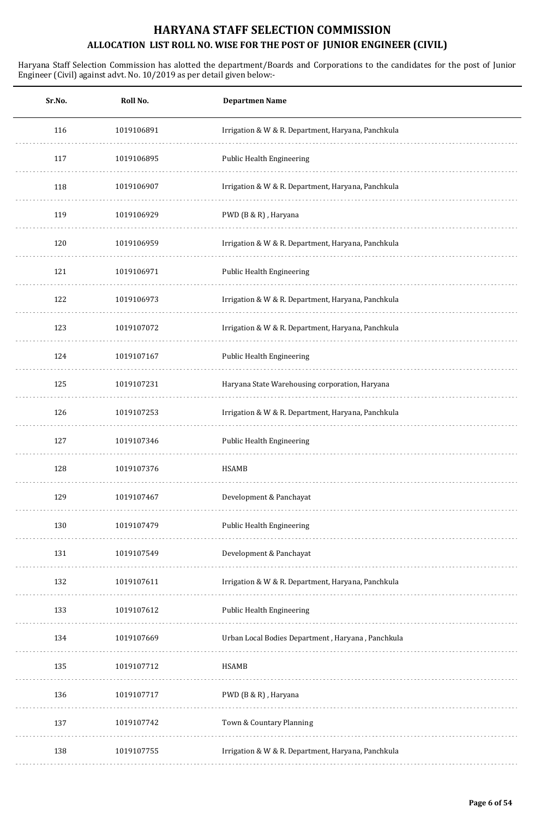| Sr.No. | Roll No.   | <b>Departmen Name</b>                              |
|--------|------------|----------------------------------------------------|
| 116    | 1019106891 | Irrigation & W & R. Department, Haryana, Panchkula |
| 117    | 1019106895 | <b>Public Health Engineering</b>                   |
| 118    | 1019106907 | Irrigation & W & R. Department, Haryana, Panchkula |
| 119    | 1019106929 | PWD (B & R), Haryana                               |
| 120    | 1019106959 | Irrigation & W & R. Department, Haryana, Panchkula |
| 121    | 1019106971 | Public Health Engineering                          |
| 122    | 1019106973 | Irrigation & W & R. Department, Haryana, Panchkula |
| 123    | 1019107072 | Irrigation & W & R. Department, Haryana, Panchkula |
| 124    | 1019107167 | Public Health Engineering                          |
| 125    | 1019107231 | Haryana State Warehousing corporation, Haryana     |
| 126    | 1019107253 | Irrigation & W & R. Department, Haryana, Panchkula |
| 127    | 1019107346 | <b>Public Health Engineering</b>                   |
| 128    | 1019107376 | <b>HSAMB</b>                                       |
| 129    | 1019107467 | Development & Panchayat                            |
| 130    | 1019107479 | <b>Public Health Engineering</b>                   |
| 131    | 1019107549 | Development & Panchayat                            |
| 132    | 1019107611 | Irrigation & W & R. Department, Haryana, Panchkula |
| 133    | 1019107612 | <b>Public Health Engineering</b>                   |
| 134    | 1019107669 | Urban Local Bodies Department, Haryana, Panchkula  |
| 135    | 1019107712 | <b>HSAMB</b>                                       |
| 136    | 1019107717 | PWD (B & R), Haryana                               |
| 137    | 1019107742 | Town & Countary Planning                           |
| 138    | 1019107755 | Irrigation & W & R. Department, Haryana, Panchkula |
|        |            |                                                    |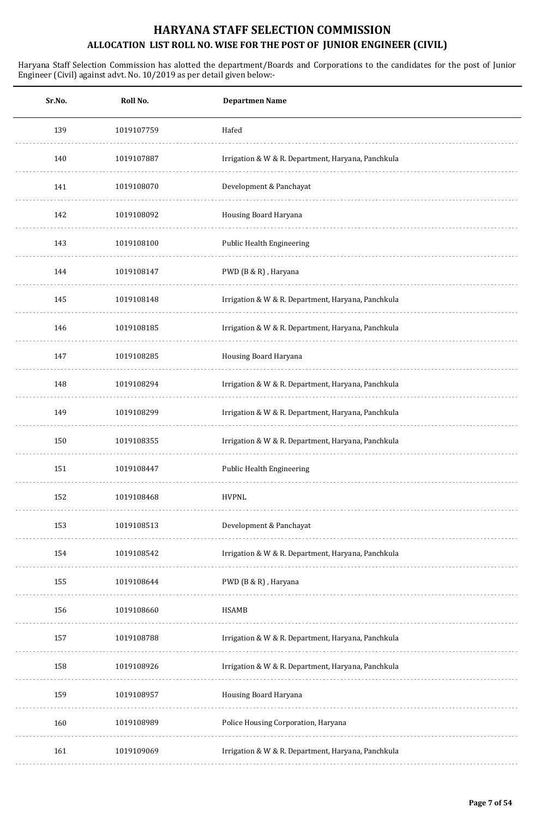| Sr.No. | Roll No.   | <b>Departmen Name</b>                              |
|--------|------------|----------------------------------------------------|
| 139    | 1019107759 | Hafed                                              |
| 140    | 1019107887 | Irrigation & W & R. Department, Haryana, Panchkula |
| 141    | 1019108070 | Development & Panchayat                            |
| 142    | 1019108092 | Housing Board Haryana                              |
| 143    | 1019108100 | Public Health Engineering                          |
| 144    | 1019108147 | PWD (B & R), Haryana                               |
| 145    | 1019108148 | Irrigation & W & R. Department, Haryana, Panchkula |
| 146    | 1019108185 | Irrigation & W & R. Department, Haryana, Panchkula |
| 147    | 1019108285 | Housing Board Haryana                              |
| 148    | 1019108294 | Irrigation & W & R. Department, Haryana, Panchkula |
| 149    | 1019108299 | Irrigation & W & R. Department, Haryana, Panchkula |
| 150    | 1019108355 | Irrigation & W & R. Department, Haryana, Panchkula |
| 151    | 1019108447 | <b>Public Health Engineering</b>                   |
| 152    | 1019108468 | <b>HVPNL</b>                                       |
| 153    | 1019108513 | Development & Panchayat                            |
| 154    | 1019108542 | Irrigation & W & R. Department, Haryana, Panchkula |
| 155    | 1019108644 | PWD (B & R), Haryana                               |
| 156    | 1019108660 | HSAMB                                              |
| 157    | 1019108788 | Irrigation & W & R. Department, Haryana, Panchkula |
| 158    | 1019108926 | Irrigation & W & R. Department, Haryana, Panchkula |
| 159    | 1019108957 | Housing Board Haryana                              |
| 160    | 1019108989 | Police Housing Corporation, Haryana                |
| 161    | 1019109069 | Irrigation & W & R. Department, Haryana, Panchkula |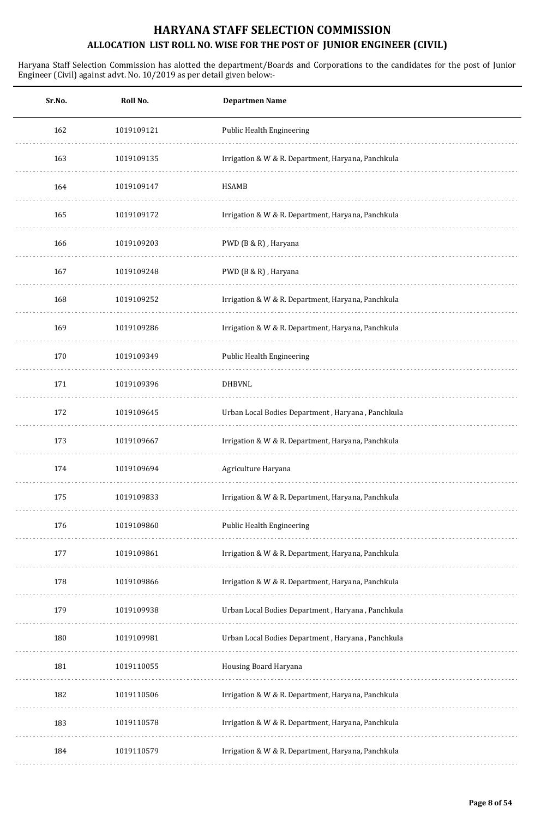| Sr.No. | Roll No.   | <b>Departmen Name</b>                              |
|--------|------------|----------------------------------------------------|
| 162    | 1019109121 | Public Health Engineering                          |
| 163    | 1019109135 | Irrigation & W & R. Department, Haryana, Panchkula |
| 164    | 1019109147 | HSAMB                                              |
| 165    | 1019109172 | Irrigation & W & R. Department, Haryana, Panchkula |
| 166    | 1019109203 | PWD (B & R), Haryana                               |
| 167    | 1019109248 | PWD (B & R), Haryana                               |
| 168    | 1019109252 | Irrigation & W & R. Department, Haryana, Panchkula |
| 169    | 1019109286 | Irrigation & W & R. Department, Haryana, Panchkula |
| 170    | 1019109349 | Public Health Engineering                          |
| 171    | 1019109396 | <b>DHBVNL</b>                                      |
| 172    | 1019109645 | Urban Local Bodies Department, Haryana, Panchkula  |
| 173    | 1019109667 | Irrigation & W & R. Department, Haryana, Panchkula |
| 174    | 1019109694 | Agriculture Haryana                                |
| 175    | 1019109833 | Irrigation & W & R. Department, Haryana, Panchkula |
| 176    | 1019109860 | Public Health Engineering                          |
| 177    | 1019109861 | Irrigation & W & R. Department, Haryana, Panchkula |
| 178    | 1019109866 | Irrigation & W & R. Department, Haryana, Panchkula |
| 179    | 1019109938 | Urban Local Bodies Department, Haryana, Panchkula  |
| 180    | 1019109981 | Urban Local Bodies Department, Haryana, Panchkula  |
| 181    | 1019110055 | Housing Board Haryana                              |
| 182    | 1019110506 | Irrigation & W & R. Department, Haryana, Panchkula |
| 183    | 1019110578 | Irrigation & W & R. Department, Haryana, Panchkula |
| 184    | 1019110579 | Irrigation & W & R. Department, Haryana, Panchkula |
|        |            |                                                    |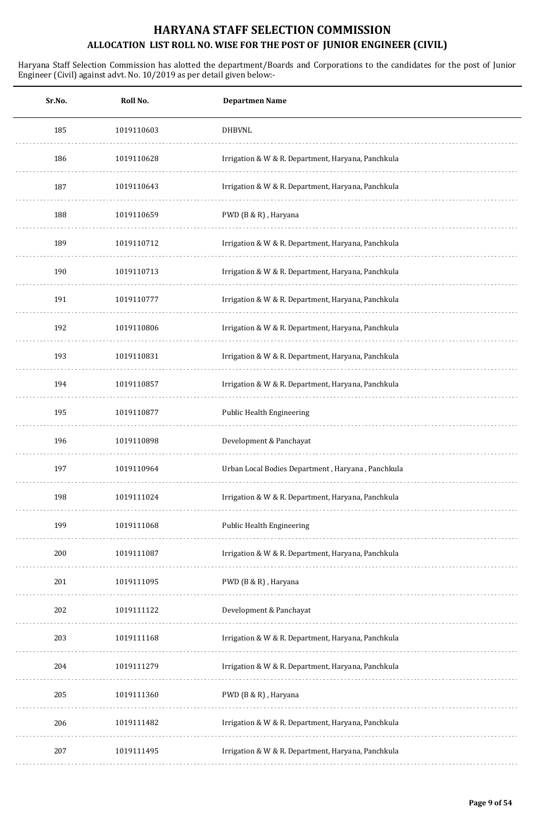| Sr.No. | Roll No.   | <b>Departmen Name</b>                              |
|--------|------------|----------------------------------------------------|
| 185    | 1019110603 | <b>DHBVNL</b>                                      |
| 186    | 1019110628 | Irrigation & W & R. Department, Haryana, Panchkula |
| 187    | 1019110643 | Irrigation & W & R. Department, Haryana, Panchkula |
| 188    | 1019110659 | PWD (B & R), Haryana                               |
| 189    | 1019110712 | Irrigation & W & R. Department, Haryana, Panchkula |
| 190    | 1019110713 | Irrigation & W & R. Department, Haryana, Panchkula |
| 191    | 1019110777 | Irrigation & W & R. Department, Haryana, Panchkula |
| 192    | 1019110806 | Irrigation & W & R. Department, Haryana, Panchkula |
| 193    | 1019110831 | Irrigation & W & R. Department, Haryana, Panchkula |
| 194    | 1019110857 | Irrigation & W & R. Department, Haryana, Panchkula |
| 195    | 1019110877 | Public Health Engineering                          |
| 196    | 1019110898 | Development & Panchayat                            |
| 197    | 1019110964 | Urban Local Bodies Department, Haryana, Panchkula  |
| 198    | 1019111024 | Irrigation & W & R. Department, Haryana, Panchkula |
| 199    | 1019111068 | Public Health Engineering                          |
| 200    | 1019111087 | Irrigation & W & R. Department, Haryana, Panchkula |
| 201    | 1019111095 | PWD (B & R), Haryana                               |
| 202    | 1019111122 | Development & Panchayat                            |
| 203    | 1019111168 | Irrigation & W & R. Department, Haryana, Panchkula |
| 204    | 1019111279 | Irrigation & W & R. Department, Haryana, Panchkula |
| 205    | 1019111360 | PWD (B & R), Haryana                               |
| 206    | 1019111482 | Irrigation & W & R. Department, Haryana, Panchkula |
| 207    | 1019111495 | Irrigation & W & R. Department, Haryana, Panchkula |
|        |            |                                                    |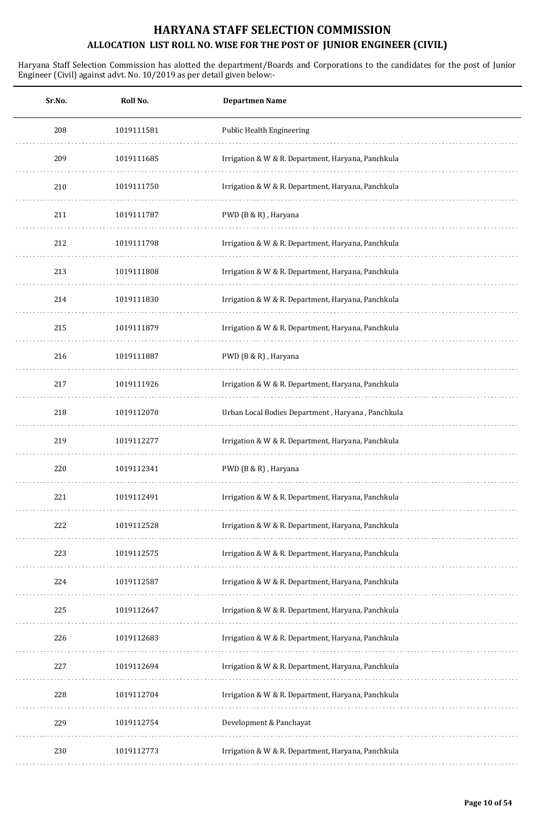| Sr.No. | Roll No.   | <b>Departmen Name</b>                              |
|--------|------------|----------------------------------------------------|
| 208    | 1019111581 | Public Health Engineering                          |
| 209    | 1019111685 | Irrigation & W & R. Department, Haryana, Panchkula |
| 210    | 1019111750 | Irrigation & W & R. Department, Haryana, Panchkula |
| 211    | 1019111787 | PWD (B & R), Haryana                               |
| 212    | 1019111798 | Irrigation & W & R. Department, Haryana, Panchkula |
| 213    | 1019111808 | Irrigation & W & R. Department, Haryana, Panchkula |
| 214    | 1019111830 | Irrigation & W & R. Department, Haryana, Panchkula |
| 215    | 1019111879 | Irrigation & W & R. Department, Haryana, Panchkula |
| 216    | 1019111887 | PWD (B & R), Haryana                               |
| 217    | 1019111926 | Irrigation & W & R. Department, Haryana, Panchkula |
| 218    | 1019112070 | Urban Local Bodies Department, Haryana, Panchkula  |
| 219    | 1019112277 | Irrigation & W & R. Department, Haryana, Panchkula |
| 220    | 1019112341 | PWD (B & R), Haryana                               |
| 221    | 1019112491 | Irrigation & W & R. Department, Haryana, Panchkula |
| 222    | 1019112528 | Irrigation & W & R. Department, Haryana, Panchkula |
| 223    | 1019112575 | Irrigation & W & R. Department, Haryana, Panchkula |
| 224    | 1019112587 | Irrigation & W & R. Department, Haryana, Panchkula |
| 225    | 1019112647 | Irrigation & W & R. Department, Haryana, Panchkula |
| 226    | 1019112683 | Irrigation & W & R. Department, Haryana, Panchkula |
| 227    | 1019112694 | Irrigation & W & R. Department, Haryana, Panchkula |
| 228    | 1019112704 | Irrigation & W & R. Department, Haryana, Panchkula |
| 229    | 1019112754 | Development & Panchayat                            |
| 230    | 1019112773 | Irrigation & W & R. Department, Haryana, Panchkula |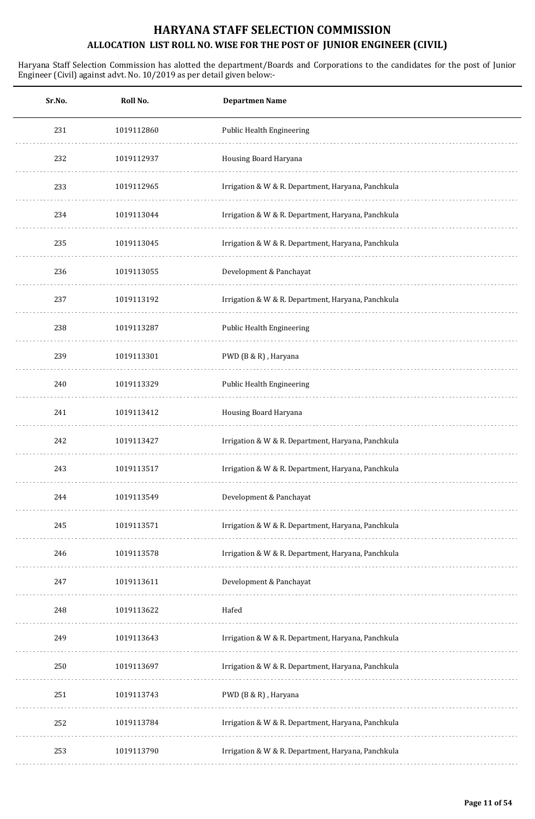| Roll No.   | <b>Departmen Name</b>                              |
|------------|----------------------------------------------------|
| 1019112860 | Public Health Engineering                          |
| 1019112937 | Housing Board Haryana                              |
| 1019112965 | Irrigation & W & R. Department, Haryana, Panchkula |
| 1019113044 | Irrigation & W & R. Department, Haryana, Panchkula |
| 1019113045 | Irrigation & W & R. Department, Haryana, Panchkula |
| 1019113055 | Development & Panchayat                            |
| 1019113192 | Irrigation & W & R. Department, Haryana, Panchkula |
| 1019113287 | <b>Public Health Engineering</b>                   |
| 1019113301 | PWD (B & R), Haryana                               |
| 1019113329 | Public Health Engineering                          |
| 1019113412 | Housing Board Haryana                              |
| 1019113427 | Irrigation & W & R. Department, Haryana, Panchkula |
| 1019113517 | Irrigation & W & R. Department, Haryana, Panchkula |
| 1019113549 | Development & Panchayat                            |
| 1019113571 | Irrigation & W & R. Department, Haryana, Panchkula |
| 1019113578 | Irrigation & W & R. Department, Haryana, Panchkula |
| 1019113611 | Development & Panchayat                            |
| 1019113622 | Hafed                                              |
| 1019113643 | Irrigation & W & R. Department, Haryana, Panchkula |
| 1019113697 | Irrigation & W & R. Department, Haryana, Panchkula |
| 1019113743 | PWD (B & R), Haryana                               |
| 1019113784 | Irrigation & W & R. Department, Haryana, Panchkula |
| 1019113790 | Irrigation & W & R. Department, Haryana, Panchkula |
|            |                                                    |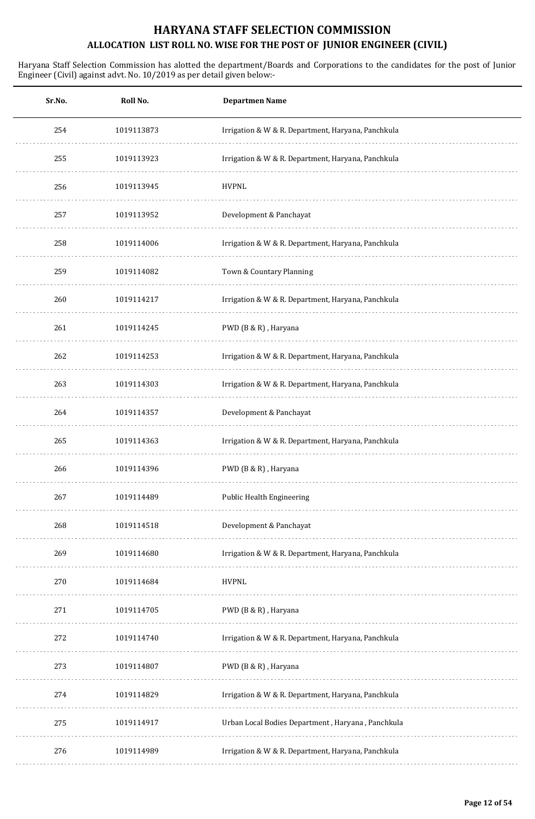| <b>Departmen Name</b>                              | Roll No.   | Sr.No. |
|----------------------------------------------------|------------|--------|
| Irrigation & W & R. Department, Haryana, Panchkula | 1019113873 | 254    |
| Irrigation & W & R. Department, Haryana, Panchkula | 1019113923 | 255    |
|                                                    | 1019113945 | 256    |
| Development & Panchayat                            | 1019113952 | 257    |
| Irrigation & W & R. Department, Haryana, Panchkula | 1019114006 | 258    |
| Town & Countary Planning                           | 1019114082 | 259    |
| Irrigation & W & R. Department, Haryana, Panchkula | 1019114217 | 260    |
| PWD (B & R), Haryana                               | 1019114245 | 261    |
| Irrigation & W & R. Department, Haryana, Panchkula | 1019114253 | 262    |
| Irrigation & W & R. Department, Haryana, Panchkula | 1019114303 | 263    |
| Development & Panchayat                            | 1019114357 | 264    |
| Irrigation & W & R. Department, Haryana, Panchkula | 1019114363 | 265    |
| PWD (B & R), Haryana                               | 1019114396 | 266    |
| Public Health Engineering                          | 1019114489 | 267    |
| Development & Panchayat                            | 1019114518 | 268    |
| Irrigation & W & R. Department, Haryana, Panchkula | 1019114680 | 269    |
|                                                    | 1019114684 | 270    |
| PWD (B & R), Haryana                               | 1019114705 | 271    |
| Irrigation & W & R. Department, Haryana, Panchkula | 1019114740 | 272    |
| PWD (B & R), Haryana                               | 1019114807 | 273    |
| Irrigation & W & R. Department, Haryana, Panchkula | 1019114829 | 274    |
| Urban Local Bodies Department, Haryana, Panchkula  | 1019114917 | 275    |
| Irrigation & W & R. Department, Haryana, Panchkula | 1019114989 | 276    |
|                                                    |            |        |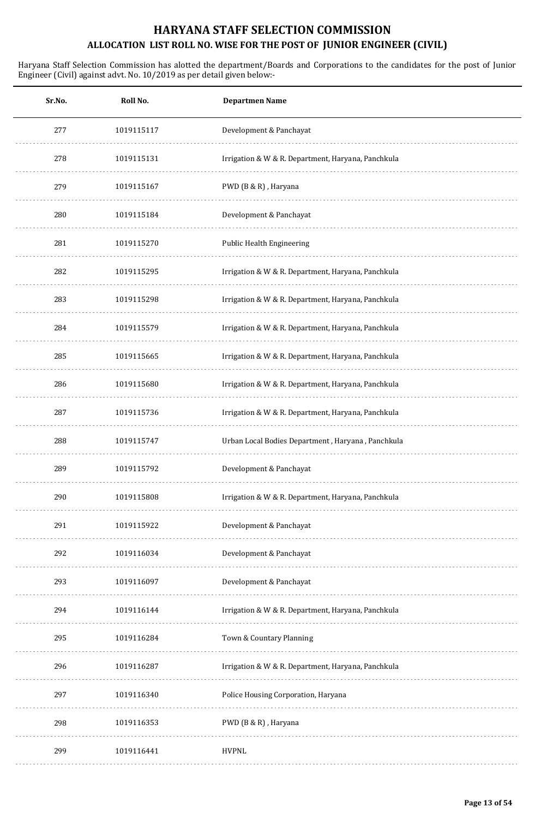| Sr.No. | Roll No.   | <b>Departmen Name</b>                              |
|--------|------------|----------------------------------------------------|
| 277    | 1019115117 | Development & Panchayat                            |
| 278    | 1019115131 | Irrigation & W & R. Department, Haryana, Panchkula |
| 279    | 1019115167 | PWD (B & R), Haryana                               |
| 280    | 1019115184 | Development & Panchayat                            |
| 281    | 1019115270 | Public Health Engineering                          |
| 282    | 1019115295 | Irrigation & W & R. Department, Haryana, Panchkula |
| 283    | 1019115298 | Irrigation & W & R. Department, Haryana, Panchkula |
| 284    | 1019115579 | Irrigation & W & R. Department, Haryana, Panchkula |
| 285    | 1019115665 | Irrigation & W & R. Department, Haryana, Panchkula |
| 286    | 1019115680 | Irrigation & W & R. Department, Haryana, Panchkula |
| 287    | 1019115736 | Irrigation & W & R. Department, Haryana, Panchkula |
| 288    | 1019115747 | Urban Local Bodies Department, Haryana, Panchkula  |
| 289    | 1019115792 | Development & Panchayat                            |
| 290    | 1019115808 | Irrigation & W & R. Department, Haryana, Panchkula |
| 291    | 1019115922 | Development & Panchayat                            |
| 292    | 1019116034 | Development & Panchayat                            |
| 293    | 1019116097 | Development & Panchayat                            |
| 294    | 1019116144 | Irrigation & W & R. Department, Haryana, Panchkula |
| 295    | 1019116284 | Town & Countary Planning                           |
| 296    | 1019116287 | Irrigation & W & R. Department, Haryana, Panchkula |
| 297    | 1019116340 | Police Housing Corporation, Haryana                |
| 298    | 1019116353 | PWD (B & R), Haryana                               |
| 299    | 1019116441 | <b>HVPNL</b>                                       |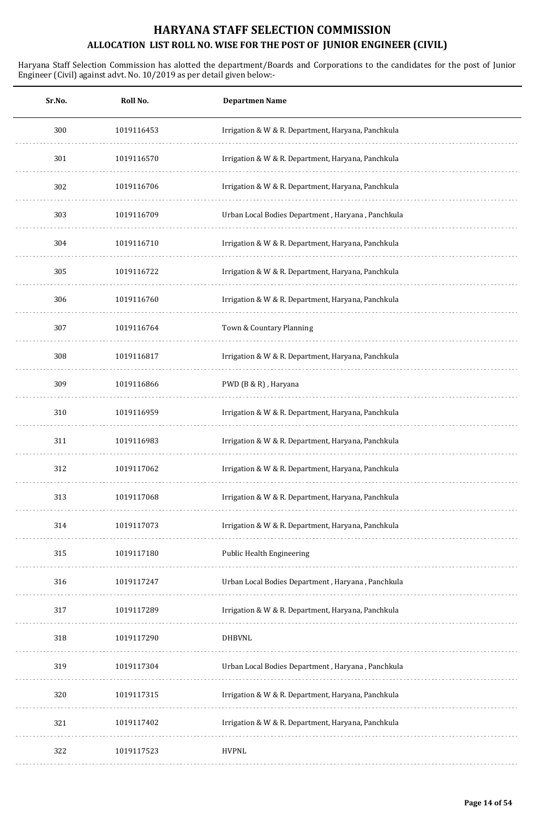| Sr.No. | Roll No.   | <b>Departmen Name</b>                              |
|--------|------------|----------------------------------------------------|
| 300    | 1019116453 | Irrigation & W & R. Department, Haryana, Panchkula |
| 301    | 1019116570 | Irrigation & W & R. Department, Haryana, Panchkula |
| 302    | 1019116706 | Irrigation & W & R. Department, Haryana, Panchkula |
| 303    | 1019116709 | Urban Local Bodies Department, Haryana, Panchkula  |
| 304    | 1019116710 | Irrigation & W & R. Department, Haryana, Panchkula |
| 305    | 1019116722 | Irrigation & W & R. Department, Haryana, Panchkula |
| 306    | 1019116760 | Irrigation & W & R. Department, Haryana, Panchkula |
| 307    | 1019116764 | Town & Countary Planning                           |
| 308    | 1019116817 | Irrigation & W & R. Department, Haryana, Panchkula |
| 309    | 1019116866 | PWD (B & R), Haryana                               |
| 310    | 1019116959 | Irrigation & W & R. Department, Haryana, Panchkula |
| 311    | 1019116983 | Irrigation & W & R. Department, Haryana, Panchkula |
| 312    | 1019117062 | Irrigation & W & R. Department, Haryana, Panchkula |
| 313    | 1019117068 | Irrigation & W & R. Department, Haryana, Panchkula |
| 314    | 1019117073 | Irrigation & W & R. Department, Haryana, Panchkula |
| 315    | 1019117180 | Public Health Engineering                          |
| 316    | 1019117247 | Urban Local Bodies Department, Haryana, Panchkula  |
| 317    | 1019117289 | Irrigation & W & R. Department, Haryana, Panchkula |
| 318    | 1019117290 | <b>DHBVNL</b>                                      |
| 319    | 1019117304 | Urban Local Bodies Department, Haryana, Panchkula  |
| 320    | 1019117315 | Irrigation & W & R. Department, Haryana, Panchkula |
| 321    | 1019117402 | Irrigation & W & R. Department, Haryana, Panchkula |
| 322    | 1019117523 | <b>HVPNL</b>                                       |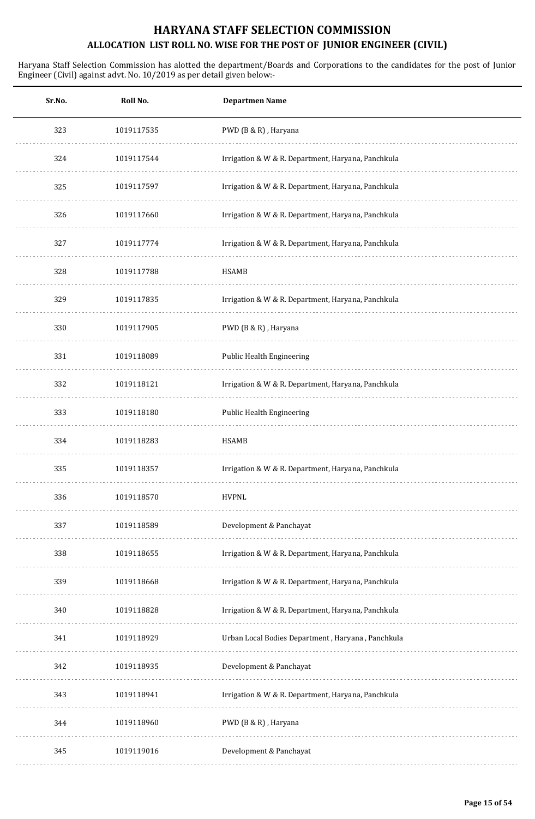| Sr.No. | Roll No.   | <b>Departmen Name</b>                              |
|--------|------------|----------------------------------------------------|
| 323    | 1019117535 | PWD (B & R), Haryana                               |
| 324    | 1019117544 | Irrigation & W & R. Department, Haryana, Panchkula |
| 325    | 1019117597 | Irrigation & W & R. Department, Haryana, Panchkula |
| 326    | 1019117660 | Irrigation & W & R. Department, Haryana, Panchkula |
| 327    | 1019117774 | Irrigation & W & R. Department, Haryana, Panchkula |
| 328    | 1019117788 | <b>HSAMB</b>                                       |
| 329    | 1019117835 | Irrigation & W & R. Department, Haryana, Panchkula |
| 330    | 1019117905 | PWD (B & R), Haryana                               |
| 331    | 1019118089 | Public Health Engineering                          |
| 332    | 1019118121 | Irrigation & W & R. Department, Haryana, Panchkula |
| 333    | 1019118180 | Public Health Engineering                          |
| 334    | 1019118283 | <b>HSAMB</b>                                       |
| 335    | 1019118357 | Irrigation & W & R. Department, Haryana, Panchkula |
| 336    | 1019118570 | <b>HVPNL</b>                                       |
| 337    | 1019118589 | Development & Panchayat                            |
| 338    | 1019118655 | Irrigation & W & R. Department, Haryana, Panchkula |
| 339    | 1019118668 | Irrigation & W & R. Department, Haryana, Panchkula |
| 340    | 1019118828 | Irrigation & W & R. Department, Haryana, Panchkula |
| 341    | 1019118929 | Urban Local Bodies Department, Haryana, Panchkula  |
| 342    | 1019118935 | Development & Panchayat                            |
| 343    | 1019118941 | Irrigation & W & R. Department, Haryana, Panchkula |
| 344    | 1019118960 | PWD (B & R), Haryana                               |
| 345    | 1019119016 | Development & Panchayat                            |
|        |            |                                                    |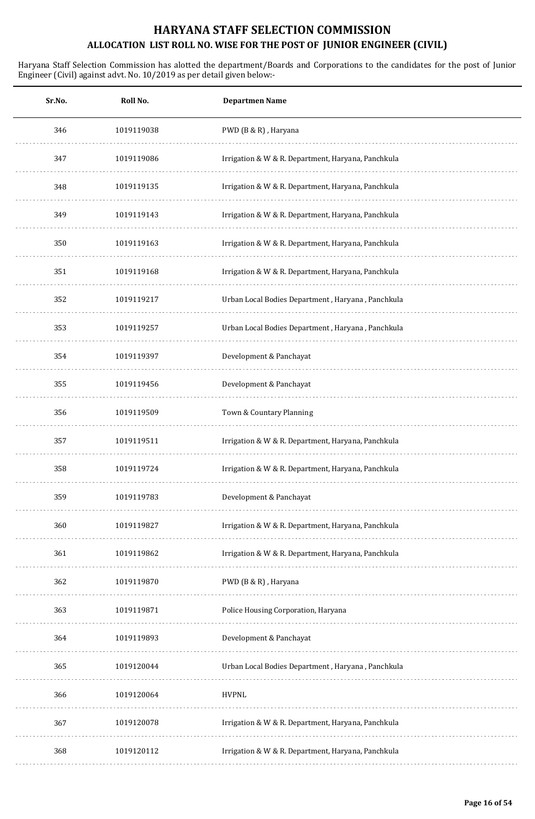| Sr.No. | Roll No.   | <b>Departmen Name</b>                              |
|--------|------------|----------------------------------------------------|
| 346    | 1019119038 | PWD (B & R), Haryana                               |
| 347    | 1019119086 | Irrigation & W & R. Department, Haryana, Panchkula |
| 348    | 1019119135 | Irrigation & W & R. Department, Haryana, Panchkula |
| 349    | 1019119143 | Irrigation & W & R. Department, Haryana, Panchkula |
| 350    | 1019119163 | Irrigation & W & R. Department, Haryana, Panchkula |
| 351    | 1019119168 | Irrigation & W & R. Department, Haryana, Panchkula |
| 352    | 1019119217 | Urban Local Bodies Department, Haryana, Panchkula  |
| 353    | 1019119257 | Urban Local Bodies Department, Haryana, Panchkula  |
| 354    | 1019119397 | Development & Panchayat                            |
| 355    | 1019119456 | Development & Panchayat                            |
| 356    | 1019119509 | Town & Countary Planning                           |
| 357    | 1019119511 | Irrigation & W & R. Department, Haryana, Panchkula |
| 358    | 1019119724 | Irrigation & W & R. Department, Haryana, Panchkula |
| 359    | 1019119783 | Development & Panchayat                            |
| 360    | 1019119827 | Irrigation & W & R. Department, Haryana, Panchkula |
| 361    | 1019119862 | Irrigation & W & R. Department, Haryana, Panchkula |
| 362    | 1019119870 | PWD (B & R), Haryana                               |
| 363    | 1019119871 | Police Housing Corporation, Haryana                |
| 364    | 1019119893 | Development & Panchayat                            |
| 365    | 1019120044 | Urban Local Bodies Department, Haryana, Panchkula  |
| 366    | 1019120064 | <b>HVPNL</b>                                       |
| 367    | 1019120078 | Irrigation & W & R. Department, Haryana, Panchkula |
| 368    | 1019120112 | Irrigation & W & R. Department, Haryana, Panchkula |
|        |            |                                                    |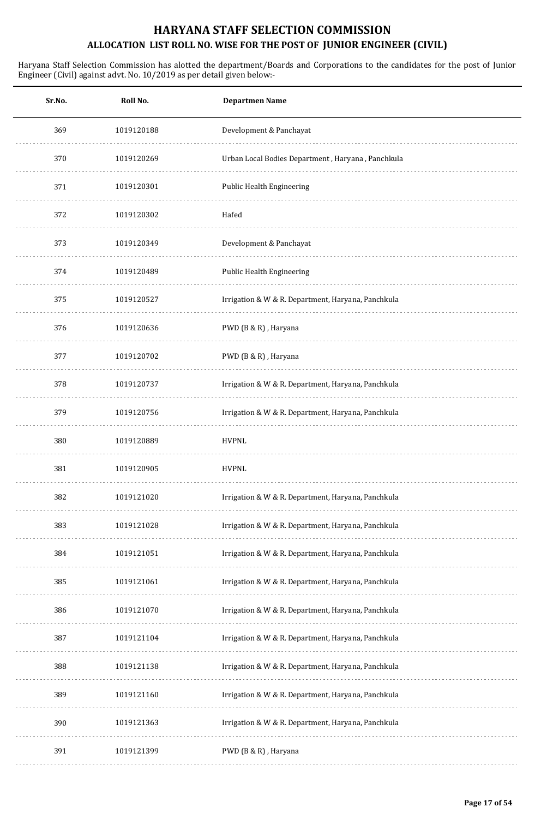| Sr.No. | Roll No.   | <b>Departmen Name</b>                              |
|--------|------------|----------------------------------------------------|
| 369    | 1019120188 | Development & Panchayat                            |
| 370    | 1019120269 | Urban Local Bodies Department, Haryana, Panchkula  |
| 371    | 1019120301 | Public Health Engineering                          |
| 372    | 1019120302 | Hafed                                              |
| 373    | 1019120349 | Development & Panchayat                            |
| 374    | 1019120489 | Public Health Engineering                          |
| 375    | 1019120527 | Irrigation & W & R. Department, Haryana, Panchkula |
| 376    | 1019120636 | PWD (B & R), Haryana                               |
| 377    | 1019120702 | PWD (B & R), Haryana                               |
| 378    | 1019120737 | Irrigation & W & R. Department, Haryana, Panchkula |
| 379    | 1019120756 | Irrigation & W & R. Department, Haryana, Panchkula |
| 380    | 1019120889 | <b>HVPNL</b>                                       |
| 381    | 1019120905 | <b>HVPNL</b>                                       |
| 382    | 1019121020 | Irrigation & W & R. Department, Haryana, Panchkula |
| 383    | 1019121028 | Irrigation & W & R. Department, Haryana, Panchkula |
| 384    | 1019121051 | Irrigation & W & R. Department, Haryana, Panchkula |
| 385    | 1019121061 | Irrigation & W & R. Department, Haryana, Panchkula |
| 386    | 1019121070 | Irrigation & W & R. Department, Haryana, Panchkula |
| 387    | 1019121104 | Irrigation & W & R. Department, Haryana, Panchkula |
| 388    | 1019121138 | Irrigation & W & R. Department, Haryana, Panchkula |
| 389    | 1019121160 | Irrigation & W & R. Department, Haryana, Panchkula |
| 390    | 1019121363 | Irrigation & W & R. Department, Haryana, Panchkula |
| 391    | 1019121399 | PWD (B & R), Haryana                               |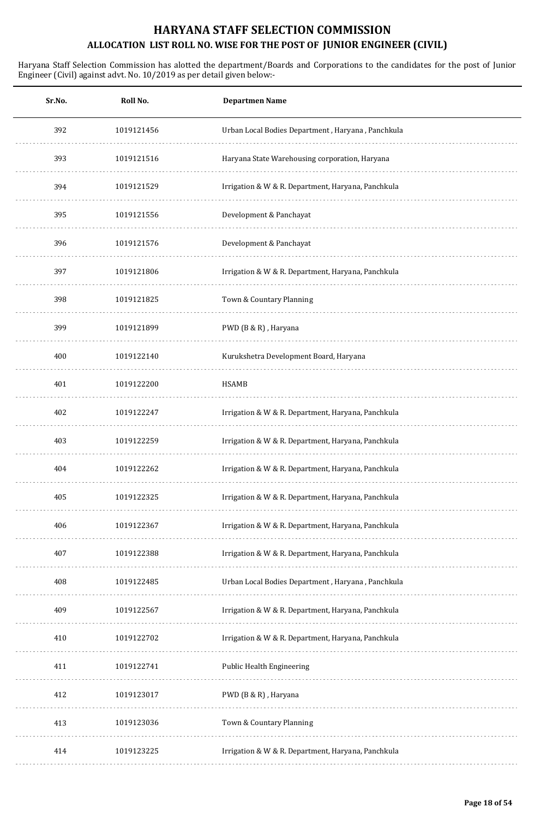| Sr.No. | Roll No.   | <b>Departmen Name</b>                              |
|--------|------------|----------------------------------------------------|
| 392    | 1019121456 | Urban Local Bodies Department, Haryana, Panchkula  |
| 393    | 1019121516 | Haryana State Warehousing corporation, Haryana     |
| 394    | 1019121529 | Irrigation & W & R. Department, Haryana, Panchkula |
| 395    | 1019121556 | Development & Panchayat                            |
| 396    | 1019121576 | Development & Panchayat                            |
| 397    | 1019121806 | Irrigation & W & R. Department, Haryana, Panchkula |
| 398    | 1019121825 | Town & Countary Planning                           |
| 399    | 1019121899 | PWD (B & R), Haryana                               |
| 400    | 1019122140 | Kurukshetra Development Board, Haryana             |
| 401    | 1019122200 | <b>HSAMB</b>                                       |
| 402    | 1019122247 | Irrigation & W & R. Department, Haryana, Panchkula |
| 403    | 1019122259 | Irrigation & W & R. Department, Haryana, Panchkula |
| 404    | 1019122262 | Irrigation & W & R. Department, Haryana, Panchkula |
| 405    | 1019122325 | Irrigation & W & R. Department, Haryana, Panchkula |
| 406    | 1019122367 | Irrigation & W & R. Department, Haryana, Panchkula |
| 407    | 1019122388 | Irrigation & W & R. Department, Haryana, Panchkula |
| 408    | 1019122485 | Urban Local Bodies Department, Haryana, Panchkula  |
| 409    | 1019122567 | Irrigation & W & R. Department, Haryana, Panchkula |
| 410    | 1019122702 | Irrigation & W & R. Department, Haryana, Panchkula |
| 411    | 1019122741 | <b>Public Health Engineering</b>                   |
| 412    | 1019123017 | PWD (B & R), Haryana                               |
| 413    | 1019123036 | Town & Countary Planning                           |
| 414    | 1019123225 | Irrigation & W & R. Department, Haryana, Panchkula |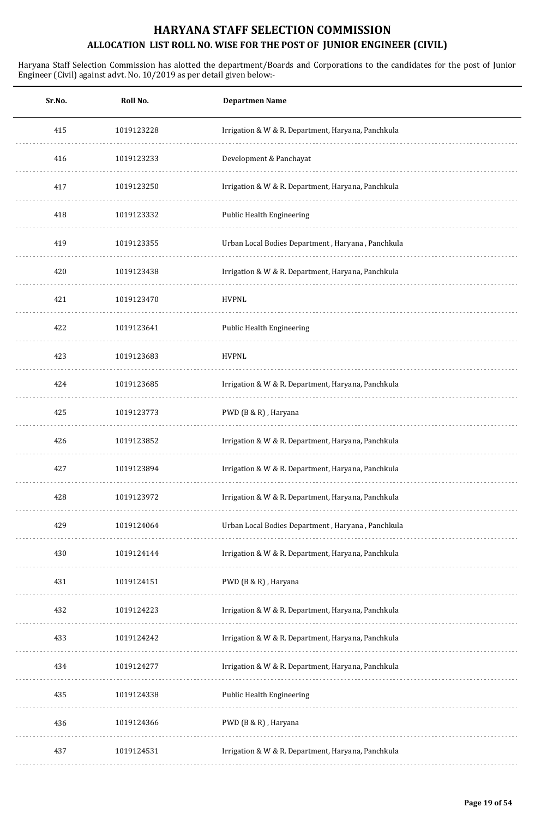| Sr.No. | Roll No.   | <b>Departmen Name</b>                              |
|--------|------------|----------------------------------------------------|
| 415    | 1019123228 | Irrigation & W & R. Department, Haryana, Panchkula |
| 416    | 1019123233 | Development & Panchayat                            |
| 417    | 1019123250 | Irrigation & W & R. Department, Haryana, Panchkula |
| 418    | 1019123332 | Public Health Engineering                          |
| 419    | 1019123355 | Urban Local Bodies Department, Haryana, Panchkula  |
| 420    | 1019123438 | Irrigation & W & R. Department, Haryana, Panchkula |
| 421    | 1019123470 | <b>HVPNL</b>                                       |
| 422    | 1019123641 | Public Health Engineering                          |
| 423    | 1019123683 | <b>HVPNL</b>                                       |
| 424    | 1019123685 | Irrigation & W & R. Department, Haryana, Panchkula |
| 425    | 1019123773 | PWD (B & R), Haryana                               |
| 426    | 1019123852 | Irrigation & W & R. Department, Haryana, Panchkula |
| 427    | 1019123894 | Irrigation & W & R. Department, Haryana, Panchkula |
| 428    | 1019123972 | Irrigation & W & R. Department, Haryana, Panchkula |
| 429    | 1019124064 | Urban Local Bodies Department, Haryana, Panchkula  |
| 430    | 1019124144 | Irrigation & W & R. Department, Haryana, Panchkula |
| 431    | 1019124151 | PWD (B & R), Haryana                               |
| 432    | 1019124223 | Irrigation & W & R. Department, Haryana, Panchkula |
| 433    | 1019124242 | Irrigation & W & R. Department, Haryana, Panchkula |
| 434    | 1019124277 | Irrigation & W & R. Department, Haryana, Panchkula |
| 435    | 1019124338 | Public Health Engineering                          |
| 436    | 1019124366 | PWD (B & R), Haryana                               |
| 437    | 1019124531 | Irrigation & W & R. Department, Haryana, Panchkula |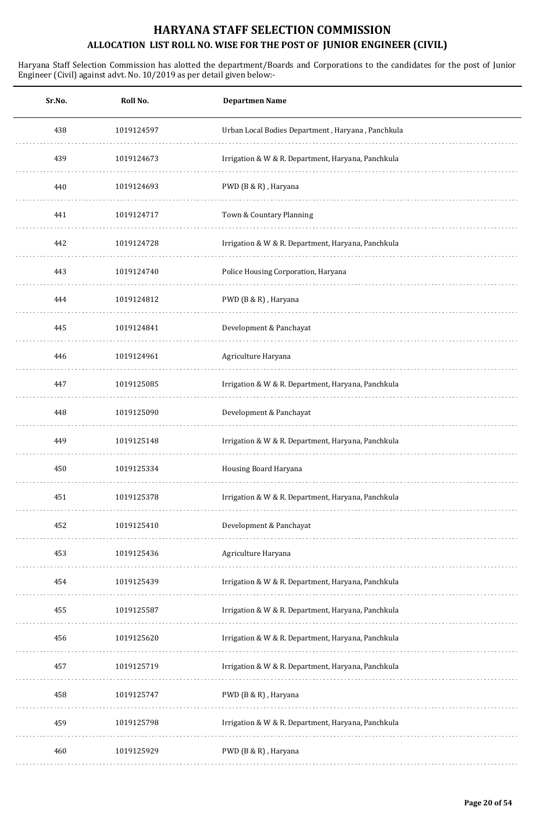| Sr.No. | Roll No.   | <b>Departmen Name</b>                              |
|--------|------------|----------------------------------------------------|
| 438    | 1019124597 | Urban Local Bodies Department, Haryana, Panchkula  |
| 439    | 1019124673 | Irrigation & W & R. Department, Haryana, Panchkula |
| 440    | 1019124693 | PWD (B & R), Haryana                               |
| 441    | 1019124717 | Town & Countary Planning                           |
| 442    | 1019124728 | Irrigation & W & R. Department, Haryana, Panchkula |
| 443    | 1019124740 | Police Housing Corporation, Haryana                |
| 444    | 1019124812 | PWD (B & R), Haryana                               |
| 445    | 1019124841 | Development & Panchayat                            |
| 446    | 1019124961 | Agriculture Haryana                                |
| 447    | 1019125085 | Irrigation & W & R. Department, Haryana, Panchkula |
| 448    | 1019125090 | Development & Panchayat                            |
| 449    | 1019125148 | Irrigation & W & R. Department, Haryana, Panchkula |
| 450    | 1019125334 | Housing Board Haryana                              |
| 451    | 1019125378 | Irrigation & W & R. Department, Haryana, Panchkula |
| 452    | 1019125410 | Development & Panchayat                            |
| 453    | 1019125436 | Agriculture Haryana                                |
| 454    | 1019125439 | Irrigation & W & R. Department, Haryana, Panchkula |
| 455    | 1019125587 | Irrigation & W & R. Department, Haryana, Panchkula |
| 456    | 1019125620 | Irrigation & W & R. Department, Haryana, Panchkula |
| 457    | 1019125719 | Irrigation & W & R. Department, Haryana, Panchkula |
| 458    | 1019125747 | PWD (B & R), Haryana                               |
| 459    | 1019125798 | Irrigation & W & R. Department, Haryana, Panchkula |
| 460    | 1019125929 | PWD (B & R), Haryana                               |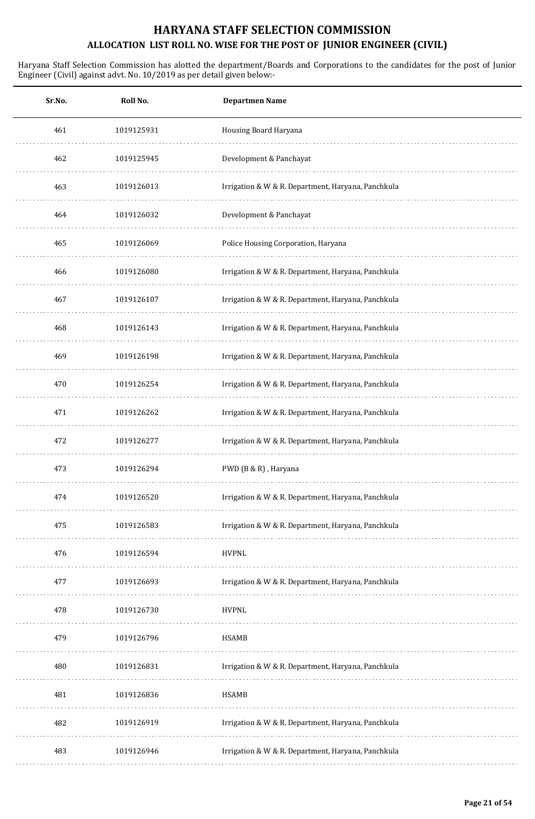| Sr.No. | Roll No.   | <b>Departmen Name</b>                              |
|--------|------------|----------------------------------------------------|
| 461    | 1019125931 | Housing Board Haryana                              |
| 462    | 1019125945 | Development & Panchayat                            |
| 463    | 1019126013 | Irrigation & W & R. Department, Haryana, Panchkula |
| 464    | 1019126032 | Development & Panchayat                            |
| 465    | 1019126069 | Police Housing Corporation, Haryana                |
| 466    | 1019126080 | Irrigation & W & R. Department, Haryana, Panchkula |
| 467    | 1019126107 | Irrigation & W & R. Department, Haryana, Panchkula |
| 468    | 1019126143 | Irrigation & W & R. Department, Haryana, Panchkula |
| 469    | 1019126198 | Irrigation & W & R. Department, Haryana, Panchkula |
| 470    | 1019126254 | Irrigation & W & R. Department, Haryana, Panchkula |
| 471    | 1019126262 | Irrigation & W & R. Department, Haryana, Panchkula |
| 472    | 1019126277 | Irrigation & W & R. Department, Haryana, Panchkula |
| 473    | 1019126294 | PWD (B & R), Haryana                               |
| 474    | 1019126520 | Irrigation & W & R. Department, Haryana, Panchkula |
| 475    | 1019126583 | Irrigation & W & R. Department, Haryana, Panchkula |
| 476    | 1019126594 | <b>HVPNL</b>                                       |
| 477    | 1019126693 | Irrigation & W & R. Department, Haryana, Panchkula |
| 478    | 1019126730 | <b>HVPNL</b>                                       |
| 479    | 1019126796 | <b>HSAMB</b>                                       |
| 480    | 1019126831 | Irrigation & W & R. Department, Haryana, Panchkula |
| 481    | 1019126836 | <b>HSAMB</b>                                       |
| 482    | 1019126919 | Irrigation & W & R. Department, Haryana, Panchkula |
| 483    | 1019126946 | Irrigation & W & R. Department, Haryana, Panchkula |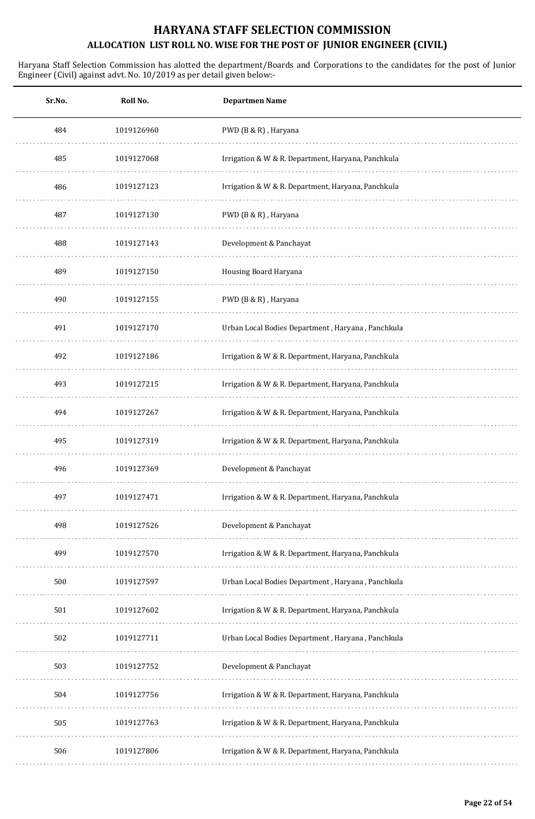| Sr.No. | Roll No.   | <b>Departmen Name</b>                              |
|--------|------------|----------------------------------------------------|
| 484    | 1019126960 | PWD (B & R), Haryana                               |
| 485    | 1019127068 | Irrigation & W & R. Department, Haryana, Panchkula |
| 486    | 1019127123 | Irrigation & W & R. Department, Haryana, Panchkula |
| 487    | 1019127130 | PWD (B & R), Haryana                               |
| 488    | 1019127143 | Development & Panchayat                            |
| 489    | 1019127150 | Housing Board Haryana                              |
| 490    | 1019127155 | PWD (B & R), Haryana                               |
| 491    | 1019127170 | Urban Local Bodies Department, Haryana, Panchkula  |
| 492    | 1019127186 | Irrigation & W & R. Department, Haryana, Panchkula |
| 493    | 1019127215 | Irrigation & W & R. Department, Haryana, Panchkula |
| 494    | 1019127267 | Irrigation & W & R. Department, Haryana, Panchkula |
| 495    | 1019127319 | Irrigation & W & R. Department, Haryana, Panchkula |
| 496    | 1019127369 | Development & Panchayat                            |
| 497    | 1019127471 | Irrigation & W & R. Department, Haryana, Panchkula |
| 498    | 1019127526 | Development & Panchayat                            |
| 499    | 1019127570 | Irrigation & W & R. Department, Haryana, Panchkula |
| 500    | 1019127597 | Urban Local Bodies Department, Haryana, Panchkula  |
| 501    | 1019127602 | Irrigation & W & R. Department, Haryana, Panchkula |
| 502    | 1019127711 | Urban Local Bodies Department, Haryana, Panchkula  |
| 503    | 1019127752 | Development & Panchayat                            |
| 504    | 1019127756 | Irrigation & W & R. Department, Haryana, Panchkula |
| 505    | 1019127763 | Irrigation & W & R. Department, Haryana, Panchkula |
| 506    | 1019127806 | Irrigation & W & R. Department, Haryana, Panchkula |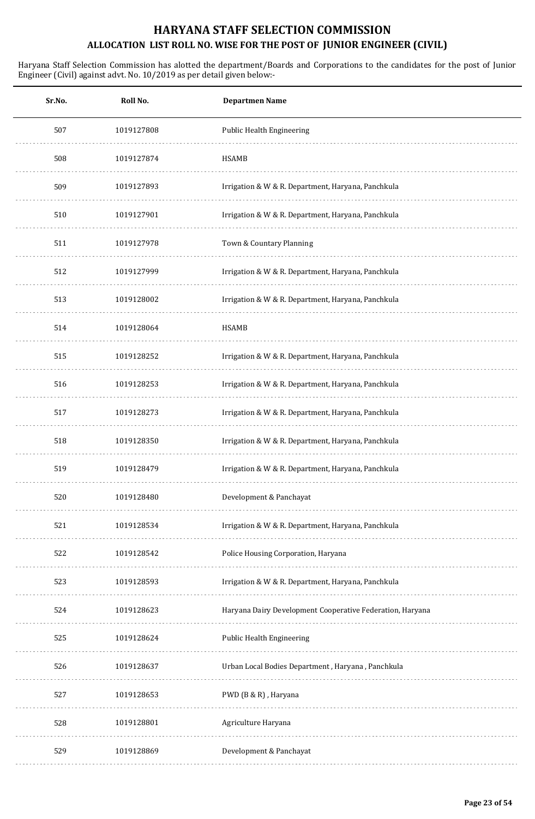| Sr.No. | Roll No.   | <b>Departmen Name</b>                                     |
|--------|------------|-----------------------------------------------------------|
| 507    | 1019127808 | Public Health Engineering                                 |
| 508    | 1019127874 | HSAMB                                                     |
| 509    | 1019127893 | Irrigation & W & R. Department, Haryana, Panchkula        |
| 510    | 1019127901 | Irrigation & W & R. Department, Haryana, Panchkula        |
| 511    | 1019127978 | Town & Countary Planning                                  |
| 512    | 1019127999 | Irrigation & W & R. Department, Haryana, Panchkula        |
| 513    | 1019128002 | Irrigation & W & R. Department, Haryana, Panchkula        |
| 514    | 1019128064 | HSAMB                                                     |
| 515    | 1019128252 | Irrigation & W & R. Department, Haryana, Panchkula        |
| 516    | 1019128253 | Irrigation & W & R. Department, Haryana, Panchkula        |
| 517    | 1019128273 | Irrigation & W & R. Department, Haryana, Panchkula        |
| 518    | 1019128350 | Irrigation & W & R. Department, Haryana, Panchkula        |
| 519    | 1019128479 | Irrigation & W & R. Department, Haryana, Panchkula        |
| 520    | 1019128480 | Development & Panchayat                                   |
| 521    | 1019128534 | Irrigation & W & R. Department, Haryana, Panchkula        |
| 522    | 1019128542 | Police Housing Corporation, Haryana                       |
| 523    | 1019128593 | Irrigation & W & R. Department, Haryana, Panchkula        |
| 524    | 1019128623 | Haryana Dairy Development Cooperative Federation, Haryana |
| 525    | 1019128624 | Public Health Engineering                                 |
| 526    | 1019128637 | Urban Local Bodies Department, Haryana, Panchkula         |
| 527    | 1019128653 | PWD (B & R), Haryana                                      |
| 528    | 1019128801 | Agriculture Haryana                                       |
| 529    | 1019128869 | Development & Panchayat                                   |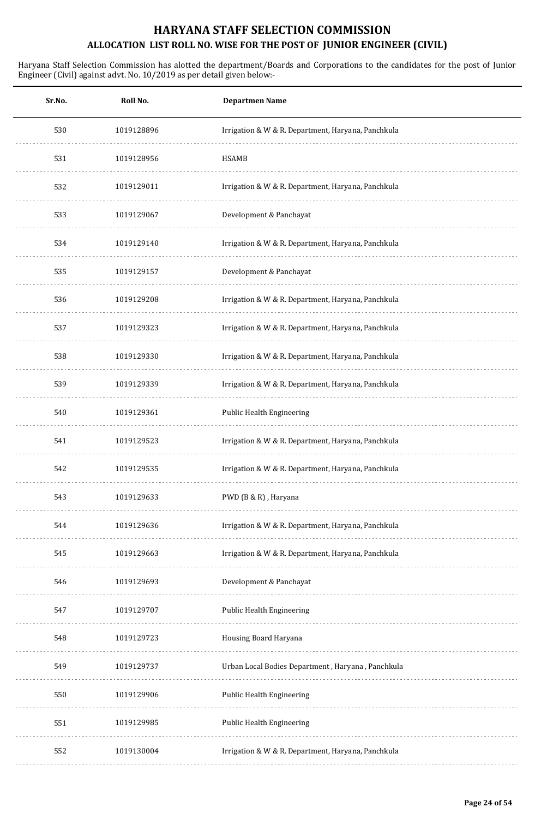| Sr.No. | Roll No.   | <b>Departmen Name</b>                              |
|--------|------------|----------------------------------------------------|
| 530    | 1019128896 | Irrigation & W & R. Department, Haryana, Panchkula |
| 531    | 1019128956 | <b>HSAMB</b>                                       |
| 532    | 1019129011 | Irrigation & W & R. Department, Haryana, Panchkula |
| 533    | 1019129067 | Development & Panchayat                            |
| 534    | 1019129140 | Irrigation & W & R. Department, Haryana, Panchkula |
| 535    | 1019129157 | Development & Panchayat                            |
| 536    | 1019129208 | Irrigation & W & R. Department, Haryana, Panchkula |
| 537    | 1019129323 | Irrigation & W & R. Department, Haryana, Panchkula |
| 538    | 1019129330 | Irrigation & W & R. Department, Haryana, Panchkula |
| 539    | 1019129339 | Irrigation & W & R. Department, Haryana, Panchkula |
| 540    | 1019129361 | Public Health Engineering                          |
| 541    | 1019129523 | Irrigation & W & R. Department, Haryana, Panchkula |
| 542    | 1019129535 | Irrigation & W & R. Department, Haryana, Panchkula |
| 543    | 1019129633 | PWD (B & R), Haryana                               |
| 544    | 1019129636 | Irrigation & W & R. Department, Haryana, Panchkula |
| 545    | 1019129663 | Irrigation & W & R. Department, Haryana, Panchkula |
| 546    | 1019129693 | Development & Panchayat                            |
| 547    | 1019129707 | Public Health Engineering                          |
| 548    | 1019129723 | Housing Board Haryana                              |
| 549    | 1019129737 | Urban Local Bodies Department, Haryana, Panchkula  |
| 550    | 1019129906 | Public Health Engineering                          |
| 551    | 1019129985 | Public Health Engineering                          |
| 552    | 1019130004 | Irrigation & W & R. Department, Haryana, Panchkula |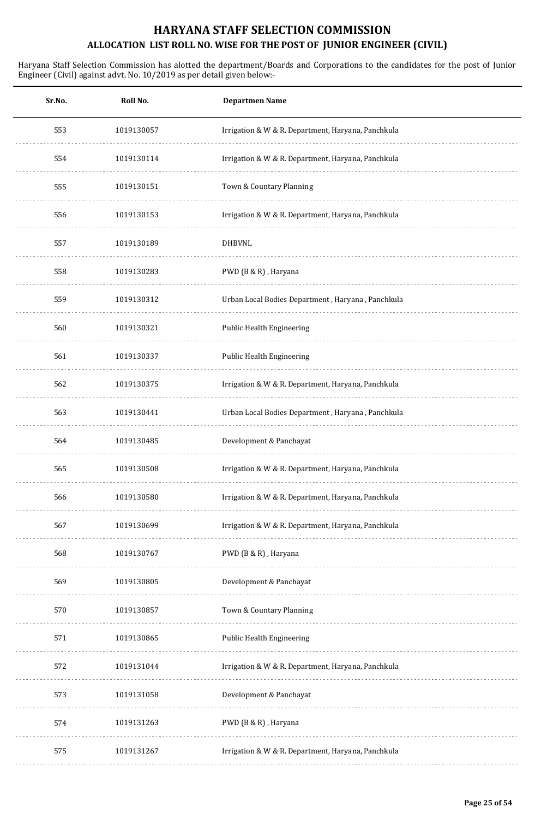| Sr.No. | Roll No.   | <b>Departmen Name</b>                              |
|--------|------------|----------------------------------------------------|
| 553    | 1019130057 | Irrigation & W & R. Department, Haryana, Panchkula |
| 554    | 1019130114 | Irrigation & W & R. Department, Haryana, Panchkula |
| 555    | 1019130151 | Town & Countary Planning                           |
| 556    | 1019130153 | Irrigation & W & R. Department, Haryana, Panchkula |
| 557    | 1019130189 | <b>DHBVNL</b>                                      |
| 558    | 1019130283 | PWD (B & R), Haryana                               |
| 559    | 1019130312 | Urban Local Bodies Department, Haryana, Panchkula  |
| 560    | 1019130321 | <b>Public Health Engineering</b>                   |
| 561    | 1019130337 | Public Health Engineering                          |
| 562    | 1019130375 | Irrigation & W & R. Department, Haryana, Panchkula |
| 563    | 1019130441 | Urban Local Bodies Department, Haryana, Panchkula  |
| 564    | 1019130485 | Development & Panchayat                            |
| 565    | 1019130508 | Irrigation & W & R. Department, Haryana, Panchkula |
| 566    | 1019130580 | Irrigation & W & R. Department, Haryana, Panchkula |
| 567    | 1019130699 | Irrigation & W & R. Department, Haryana, Panchkula |
| 568    | 1019130767 | PWD (B & R), Haryana                               |
| 569    | 1019130805 | Development & Panchayat                            |
| 570    | 1019130857 | Town & Countary Planning                           |
| 571    | 1019130865 | Public Health Engineering                          |
| 572    | 1019131044 | Irrigation & W & R. Department, Haryana, Panchkula |
| 573    | 1019131058 | Development & Panchayat                            |
| 574    | 1019131263 | PWD (B & R), Haryana                               |
| 575    | 1019131267 | Irrigation & W & R. Department, Haryana, Panchkula |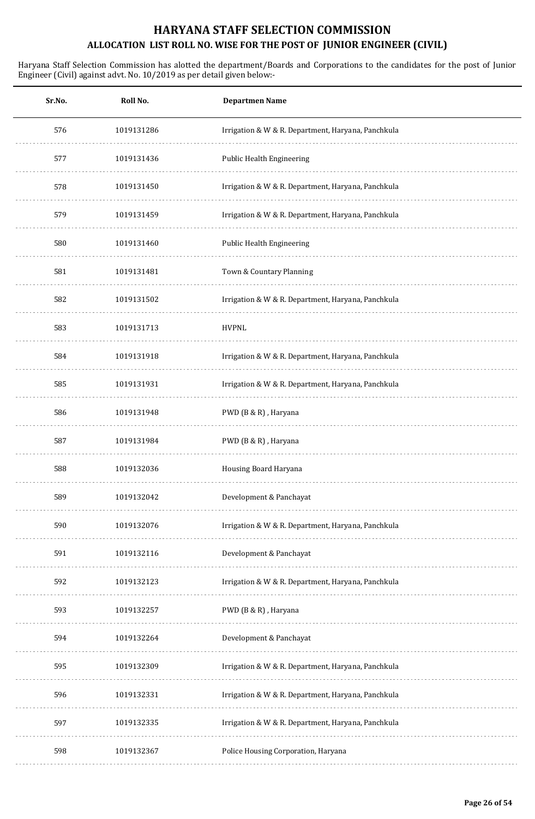| Sr.No. | Roll No.   | <b>Departmen Name</b>                              |
|--------|------------|----------------------------------------------------|
| 576    | 1019131286 | Irrigation & W & R. Department, Haryana, Panchkula |
| 577    | 1019131436 | <b>Public Health Engineering</b>                   |
| 578    | 1019131450 | Irrigation & W & R. Department, Haryana, Panchkula |
| 579    | 1019131459 | Irrigation & W & R. Department, Haryana, Panchkula |
| 580    | 1019131460 | Public Health Engineering                          |
| 581    | 1019131481 | Town & Countary Planning                           |
| 582    | 1019131502 | Irrigation & W & R. Department, Haryana, Panchkula |
| 583    | 1019131713 | <b>HVPNL</b>                                       |
| 584    | 1019131918 | Irrigation & W & R. Department, Haryana, Panchkula |
| 585    | 1019131931 | Irrigation & W & R. Department, Haryana, Panchkula |
| 586    | 1019131948 | PWD (B & R), Haryana                               |
| 587    | 1019131984 | PWD (B & R), Haryana                               |
| 588    | 1019132036 | Housing Board Haryana                              |
| 589    | 1019132042 | Development & Panchayat                            |
| 590    | 1019132076 | Irrigation & W & R. Department, Haryana, Panchkula |
| 591    | 1019132116 | Development & Panchayat                            |
| 592    | 1019132123 | Irrigation & W & R. Department, Haryana, Panchkula |
| 593    | 1019132257 | PWD (B & R), Haryana                               |
| 594    | 1019132264 | Development & Panchayat                            |
| 595    | 1019132309 | Irrigation & W & R. Department, Haryana, Panchkula |
| 596    | 1019132331 | Irrigation & W & R. Department, Haryana, Panchkula |
| 597    | 1019132335 | Irrigation & W & R. Department, Haryana, Panchkula |
| 598    | 1019132367 | Police Housing Corporation, Haryana                |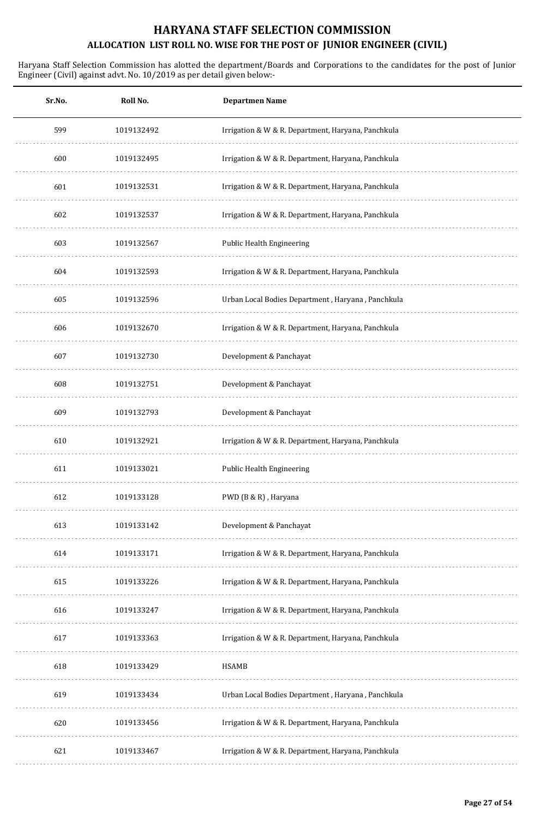| Roll No.   | <b>Departmen Name</b>                              |
|------------|----------------------------------------------------|
| 1019132492 | Irrigation & W & R. Department, Haryana, Panchkula |
| 1019132495 | Irrigation & W & R. Department, Haryana, Panchkula |
| 1019132531 | Irrigation & W & R. Department, Haryana, Panchkula |
| 1019132537 | Irrigation & W & R. Department, Haryana, Panchkula |
| 1019132567 | Public Health Engineering                          |
| 1019132593 | Irrigation & W & R. Department, Haryana, Panchkula |
| 1019132596 | Urban Local Bodies Department, Haryana, Panchkula  |
| 1019132670 | Irrigation & W & R. Department, Haryana, Panchkula |
| 1019132730 | Development & Panchayat                            |
| 1019132751 | Development & Panchayat                            |
| 1019132793 | Development & Panchayat                            |
| 1019132921 | Irrigation & W & R. Department, Haryana, Panchkula |
| 1019133021 | Public Health Engineering                          |
| 1019133128 | PWD (B & R), Haryana                               |
| 1019133142 | Development & Panchayat                            |
| 1019133171 | Irrigation & W & R. Department, Haryana, Panchkula |
| 1019133226 | Irrigation & W & R. Department, Haryana, Panchkula |
| 1019133247 | Irrigation & W & R. Department, Haryana, Panchkula |
| 1019133363 | Irrigation & W & R. Department, Haryana, Panchkula |
| 1019133429 | <b>HSAMB</b>                                       |
| 1019133434 | Urban Local Bodies Department, Haryana, Panchkula  |
| 1019133456 | Irrigation & W & R. Department, Haryana, Panchkula |
| 1019133467 | Irrigation & W & R. Department, Haryana, Panchkula |
|            |                                                    |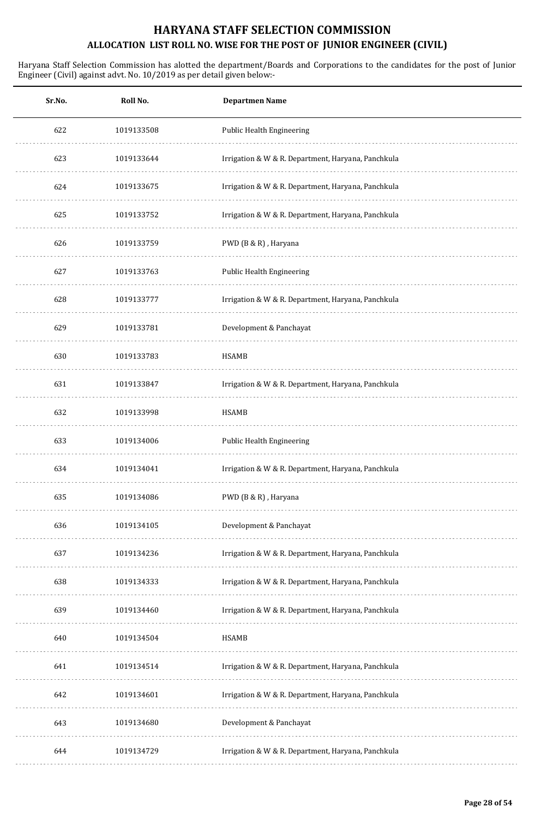| Sr.No. | Roll No.   | <b>Departmen Name</b>                              |
|--------|------------|----------------------------------------------------|
| 622    | 1019133508 | Public Health Engineering                          |
| 623    | 1019133644 | Irrigation & W & R. Department, Haryana, Panchkula |
| 624    | 1019133675 | Irrigation & W & R. Department, Haryana, Panchkula |
| 625    | 1019133752 | Irrigation & W & R. Department, Haryana, Panchkula |
| 626    | 1019133759 | PWD (B & R), Haryana                               |
| 627    | 1019133763 | Public Health Engineering                          |
| 628    | 1019133777 | Irrigation & W & R. Department, Haryana, Panchkula |
| 629    | 1019133781 | Development & Panchayat                            |
| 630    | 1019133783 | <b>HSAMB</b>                                       |
| 631    | 1019133847 | Irrigation & W & R. Department, Haryana, Panchkula |
| 632    | 1019133998 | HSAMB                                              |
| 633    | 1019134006 | Public Health Engineering                          |
| 634    | 1019134041 | Irrigation & W & R. Department, Haryana, Panchkula |
| 635    | 1019134086 | PWD (B & R), Haryana                               |
| 636    | 1019134105 | Development & Panchayat                            |
| 637    | 1019134236 | Irrigation & W & R. Department, Haryana, Panchkula |
| 638    | 1019134333 | Irrigation & W & R. Department, Haryana, Panchkula |
| 639    | 1019134460 | Irrigation & W & R. Department, Haryana, Panchkula |
| 640    | 1019134504 | HSAMB                                              |
| 641    | 1019134514 | Irrigation & W & R. Department, Haryana, Panchkula |
| 642    | 1019134601 | Irrigation & W & R. Department, Haryana, Panchkula |
| 643    | 1019134680 | Development & Panchayat                            |
| 644    | 1019134729 | Irrigation & W & R. Department, Haryana, Panchkula |
|        |            |                                                    |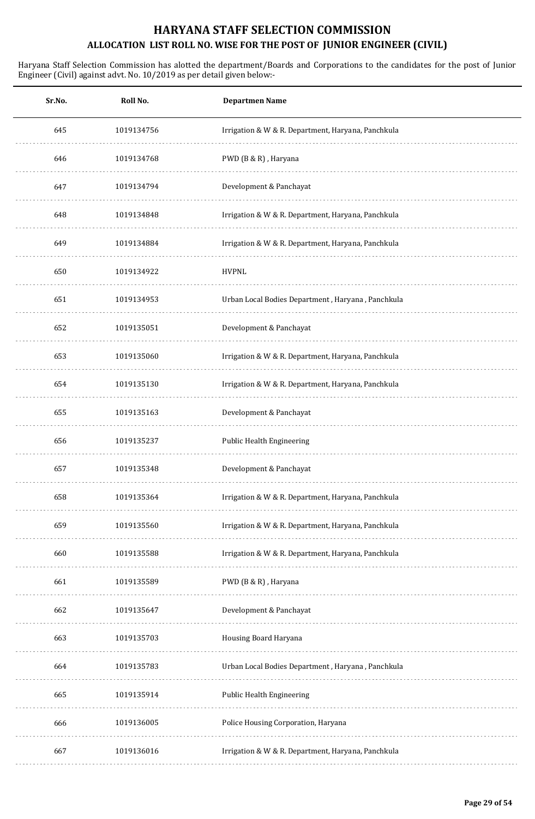| Sr.No. | Roll No.   | <b>Departmen Name</b>                              |
|--------|------------|----------------------------------------------------|
| 645    | 1019134756 | Irrigation & W & R. Department, Haryana, Panchkula |
| 646    | 1019134768 | PWD (B & R), Haryana                               |
| 647    | 1019134794 | Development & Panchayat                            |
| 648    | 1019134848 | Irrigation & W & R. Department, Haryana, Panchkula |
| 649    | 1019134884 | Irrigation & W & R. Department, Haryana, Panchkula |
| 650    | 1019134922 | <b>HVPNL</b>                                       |
| 651    | 1019134953 | Urban Local Bodies Department, Haryana, Panchkula  |
| 652    | 1019135051 | Development & Panchayat                            |
| 653    | 1019135060 | Irrigation & W & R. Department, Haryana, Panchkula |
| 654    | 1019135130 | Irrigation & W & R. Department, Haryana, Panchkula |
| 655    | 1019135163 | Development & Panchayat                            |
| 656    | 1019135237 | Public Health Engineering                          |
| 657    | 1019135348 | Development & Panchayat                            |
| 658    | 1019135364 | Irrigation & W & R. Department, Haryana, Panchkula |
| 659    | 1019135560 | Irrigation & W & R. Department, Haryana, Panchkula |
| 660    | 1019135588 | Irrigation & W & R. Department, Haryana, Panchkula |
| 661    | 1019135589 | PWD (B & R), Haryana                               |
| 662    | 1019135647 | Development & Panchayat                            |
| 663    | 1019135703 | Housing Board Haryana                              |
| 664    | 1019135783 | Urban Local Bodies Department, Haryana, Panchkula  |
| 665    | 1019135914 | Public Health Engineering                          |
| 666    | 1019136005 | Police Housing Corporation, Haryana                |
| 667    | 1019136016 | Irrigation & W & R. Department, Haryana, Panchkula |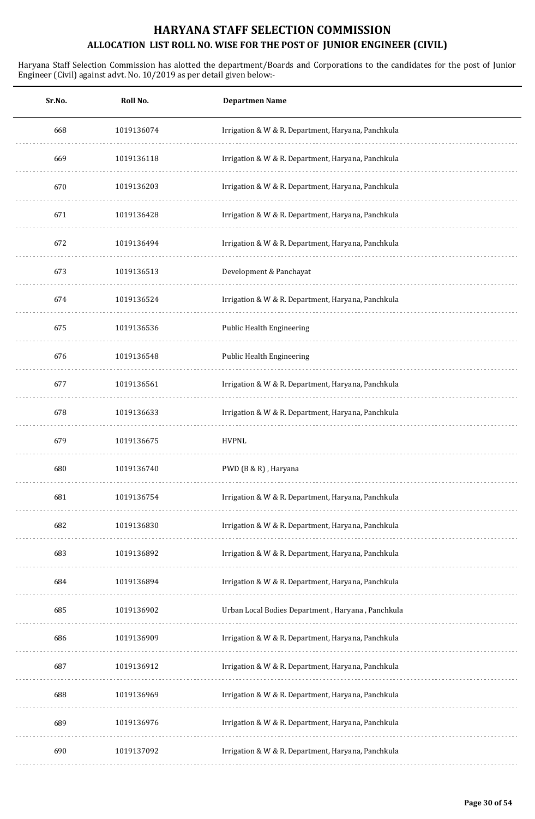| Sr.No. | Roll No.   | <b>Departmen Name</b>                              |
|--------|------------|----------------------------------------------------|
| 668    | 1019136074 | Irrigation & W & R. Department, Haryana, Panchkula |
| 669    | 1019136118 | Irrigation & W & R. Department, Haryana, Panchkula |
| 670    | 1019136203 | Irrigation & W & R. Department, Haryana, Panchkula |
| 671    | 1019136428 | Irrigation & W & R. Department, Haryana, Panchkula |
| 672    | 1019136494 | Irrigation & W & R. Department, Haryana, Panchkula |
| 673    | 1019136513 | Development & Panchayat                            |
| 674    | 1019136524 | Irrigation & W & R. Department, Haryana, Panchkula |
| 675    | 1019136536 | Public Health Engineering                          |
| 676    | 1019136548 | Public Health Engineering                          |
| 677    | 1019136561 | Irrigation & W & R. Department, Haryana, Panchkula |
| 678    | 1019136633 | Irrigation & W & R. Department, Haryana, Panchkula |
| 679    | 1019136675 | <b>HVPNL</b>                                       |
| 680    | 1019136740 | PWD (B & R), Haryana                               |
| 681    | 1019136754 | Irrigation & W & R. Department, Haryana, Panchkula |
| 682    | 1019136830 | Irrigation & W & R. Department, Haryana, Panchkula |
| 683    | 1019136892 | Irrigation & W & R. Department, Haryana, Panchkula |
| 684    | 1019136894 | Irrigation & W & R. Department, Haryana, Panchkula |
| 685    | 1019136902 | Urban Local Bodies Department, Haryana, Panchkula  |
| 686    | 1019136909 | Irrigation & W & R. Department, Haryana, Panchkula |
| 687    | 1019136912 | Irrigation & W & R. Department, Haryana, Panchkula |
| 688    | 1019136969 | Irrigation & W & R. Department, Haryana, Panchkula |
| 689    | 1019136976 | Irrigation & W & R. Department, Haryana, Panchkula |
| 690    | 1019137092 | Irrigation & W & R. Department, Haryana, Panchkula |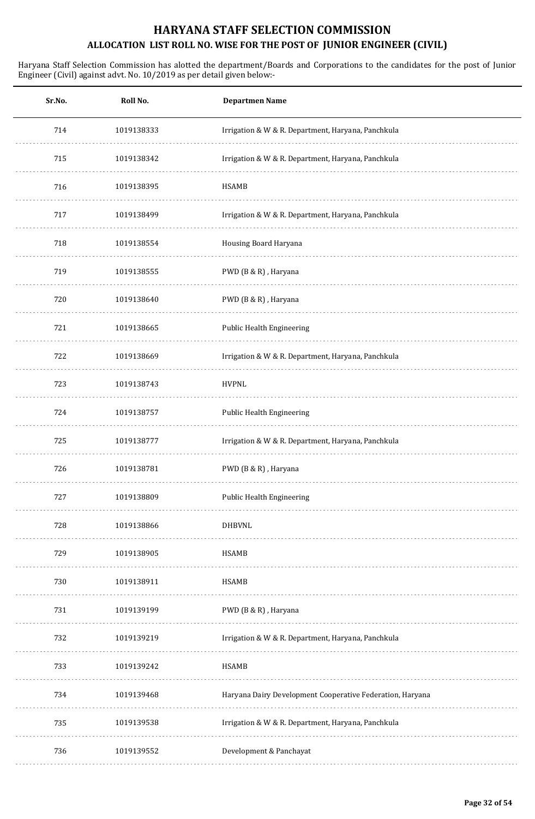| Sr.No. | Roll No.   | <b>Departmen Name</b>                                     |
|--------|------------|-----------------------------------------------------------|
| 714    | 1019138333 | Irrigation & W & R. Department, Haryana, Panchkula        |
| 715    | 1019138342 | Irrigation & W & R. Department, Haryana, Panchkula        |
| 716    | 1019138395 | <b>HSAMB</b>                                              |
| 717    | 1019138499 | Irrigation & W & R. Department, Haryana, Panchkula        |
| 718    | 1019138554 | Housing Board Haryana                                     |
| 719    | 1019138555 | PWD (B & R), Haryana                                      |
| 720    | 1019138640 | PWD (B & R), Haryana                                      |
| 721    | 1019138665 | Public Health Engineering                                 |
| 722    | 1019138669 | Irrigation & W & R. Department, Haryana, Panchkula        |
| 723    | 1019138743 | <b>HVPNL</b>                                              |
| 724    | 1019138757 | Public Health Engineering                                 |
| 725    | 1019138777 | Irrigation & W & R. Department, Haryana, Panchkula        |
| 726    | 1019138781 | PWD (B & R), Haryana                                      |
| 727    | 1019138809 | Public Health Engineering                                 |
| 728    | 1019138866 | <b>DHBVNL</b>                                             |
| 729    | 1019138905 | <b>HSAMB</b>                                              |
| 730    | 1019138911 | <b>HSAMB</b>                                              |
| 731    | 1019139199 | PWD (B & R), Haryana                                      |
| 732    | 1019139219 | Irrigation & W & R. Department, Haryana, Panchkula        |
| 733    | 1019139242 | <b>HSAMB</b>                                              |
| 734    | 1019139468 | Haryana Dairy Development Cooperative Federation, Haryana |
| 735    | 1019139538 | Irrigation & W & R. Department, Haryana, Panchkula        |
| 736    | 1019139552 | Development & Panchayat                                   |
|        |            |                                                           |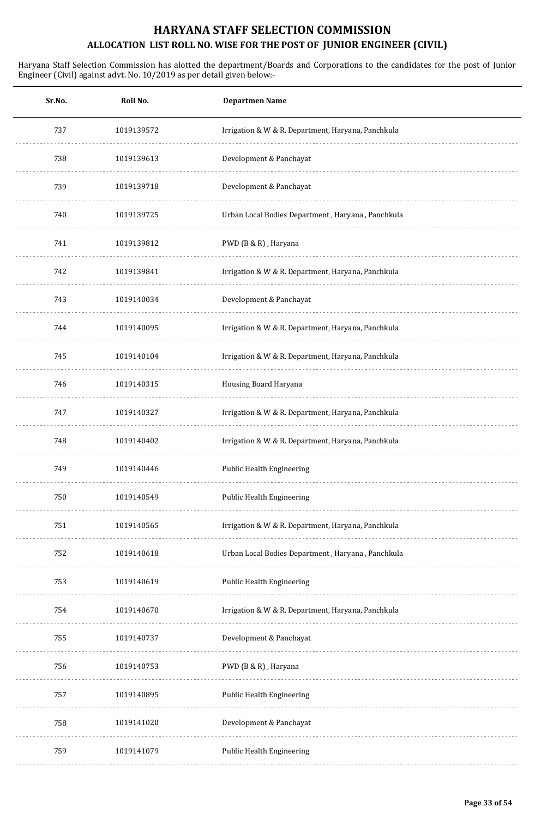| Sr.No. | Roll No.   | <b>Departmen Name</b>                              |
|--------|------------|----------------------------------------------------|
| 737    | 1019139572 | Irrigation & W & R. Department, Haryana, Panchkula |
| 738    | 1019139613 | Development & Panchayat                            |
| 739    | 1019139718 | Development & Panchayat                            |
| 740    | 1019139725 | Urban Local Bodies Department, Haryana, Panchkula  |
| 741    | 1019139812 | PWD (B & R), Haryana                               |
| 742    | 1019139841 | Irrigation & W & R. Department, Haryana, Panchkula |
| 743    | 1019140034 | Development & Panchayat                            |
| 744    | 1019140095 | Irrigation & W & R. Department, Haryana, Panchkula |
| 745    | 1019140104 | Irrigation & W & R. Department, Haryana, Panchkula |
| 746    | 1019140315 | Housing Board Haryana                              |
| 747    | 1019140327 | Irrigation & W & R. Department, Haryana, Panchkula |
| 748    | 1019140402 | Irrigation & W & R. Department, Haryana, Panchkula |
| 749    | 1019140446 | Public Health Engineering                          |
| 750    | 1019140549 | Public Health Engineering                          |
| 751    | 1019140565 | Irrigation & W & R. Department, Haryana, Panchkula |
| 752    | 1019140618 | Urban Local Bodies Department, Haryana, Panchkula  |
| 753    | 1019140619 | Public Health Engineering                          |
| 754    | 1019140670 | Irrigation & W & R. Department, Haryana, Panchkula |
| 755    | 1019140737 | Development & Panchayat                            |
| 756    | 1019140753 | PWD (B & R), Haryana                               |
| 757    | 1019140895 | Public Health Engineering                          |
| 758    | 1019141020 | Development & Panchayat                            |
| 759    | 1019141079 | Public Health Engineering                          |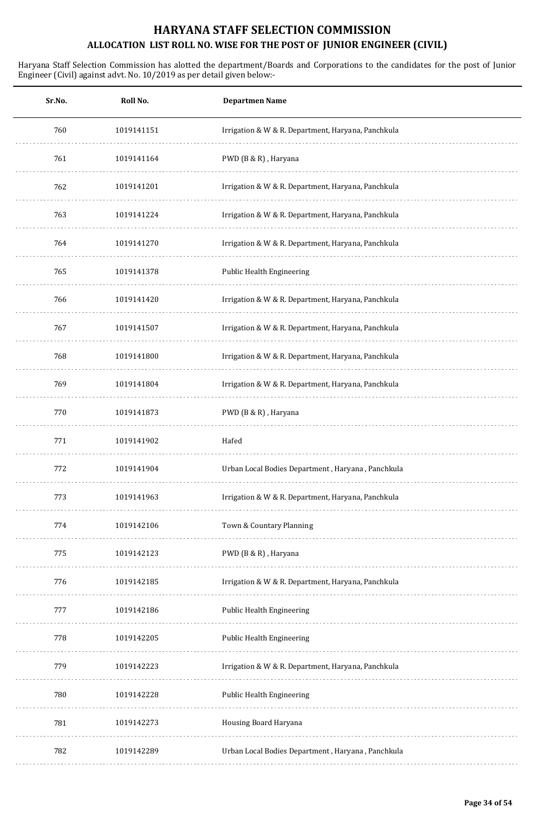| Sr.No. | Roll No.   | <b>Departmen Name</b>                              |
|--------|------------|----------------------------------------------------|
| 760    | 1019141151 | Irrigation & W & R. Department, Haryana, Panchkula |
| 761    | 1019141164 | PWD (B & R), Haryana                               |
| 762    | 1019141201 | Irrigation & W & R. Department, Haryana, Panchkula |
| 763    | 1019141224 | Irrigation & W & R. Department, Haryana, Panchkula |
| 764    | 1019141270 | Irrigation & W & R. Department, Haryana, Panchkula |
| 765    | 1019141378 | Public Health Engineering                          |
| 766    | 1019141420 | Irrigation & W & R. Department, Haryana, Panchkula |
| 767    | 1019141507 | Irrigation & W & R. Department, Haryana, Panchkula |
| 768    | 1019141800 | Irrigation & W & R. Department, Haryana, Panchkula |
| 769    | 1019141804 | Irrigation & W & R. Department, Haryana, Panchkula |
| 770    | 1019141873 | PWD (B & R), Haryana                               |
| 771    | 1019141902 | Hafed                                              |
| 772    | 1019141904 | Urban Local Bodies Department, Haryana, Panchkula  |
| 773    | 1019141963 | Irrigation & W & R. Department, Haryana, Panchkula |
| 774    | 1019142106 | Town & Countary Planning                           |
| 775    | 1019142123 | PWD (B & R), Haryana                               |
| 776    | 1019142185 | Irrigation & W & R. Department, Haryana, Panchkula |
| 777    | 1019142186 | Public Health Engineering                          |
| 778    | 1019142205 | Public Health Engineering                          |
| 779    | 1019142223 | Irrigation & W & R. Department, Haryana, Panchkula |
| 780    | 1019142228 | Public Health Engineering                          |
| 781    | 1019142273 | Housing Board Haryana                              |
| 782    | 1019142289 | Urban Local Bodies Department, Haryana, Panchkula  |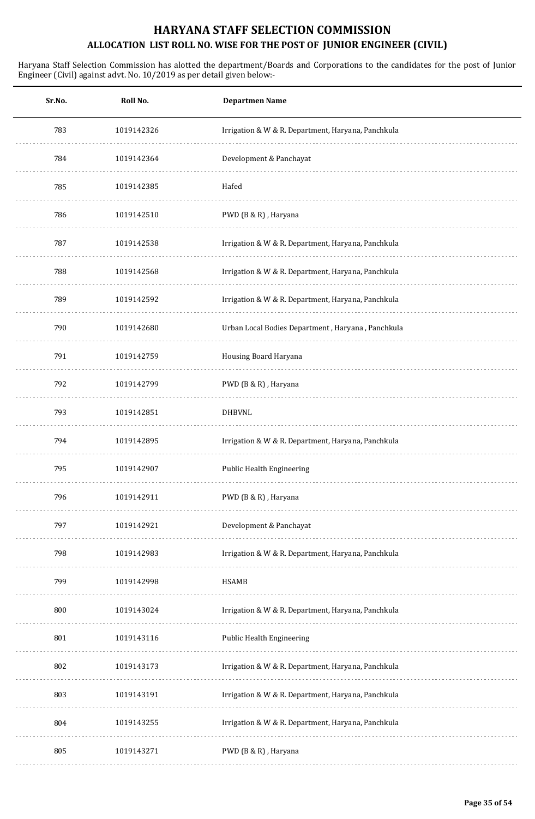| Sr.No. | Roll No.   | <b>Departmen Name</b>                              |
|--------|------------|----------------------------------------------------|
| 783    | 1019142326 | Irrigation & W & R. Department, Haryana, Panchkula |
| 784    | 1019142364 | Development & Panchayat                            |
| 785    | 1019142385 | Hafed                                              |
| 786    | 1019142510 | PWD (B & R), Haryana                               |
| 787    | 1019142538 | Irrigation & W & R. Department, Haryana, Panchkula |
| 788    | 1019142568 | Irrigation & W & R. Department, Haryana, Panchkula |
| 789    | 1019142592 | Irrigation & W & R. Department, Haryana, Panchkula |
| 790    | 1019142680 | Urban Local Bodies Department, Haryana, Panchkula  |
| 791    | 1019142759 | Housing Board Haryana                              |
| 792    | 1019142799 | PWD (B & R), Haryana                               |
| 793    | 1019142851 | <b>DHBVNL</b>                                      |
| 794    | 1019142895 | Irrigation & W & R. Department, Haryana, Panchkula |
| 795    | 1019142907 | Public Health Engineering                          |
| 796    | 1019142911 | PWD (B & R), Haryana                               |
| 797    | 1019142921 | Development & Panchayat                            |
| 798    | 1019142983 | Irrigation & W & R. Department, Haryana, Panchkula |
| 799    | 1019142998 | <b>HSAMB</b>                                       |
| 800    | 1019143024 | Irrigation & W & R. Department, Haryana, Panchkula |
| 801    | 1019143116 | Public Health Engineering                          |
| 802    | 1019143173 | Irrigation & W & R. Department, Haryana, Panchkula |
| 803    | 1019143191 | Irrigation & W & R. Department, Haryana, Panchkula |
| 804    | 1019143255 | Irrigation & W & R. Department, Haryana, Panchkula |
| 805    | 1019143271 | PWD (B & R), Haryana                               |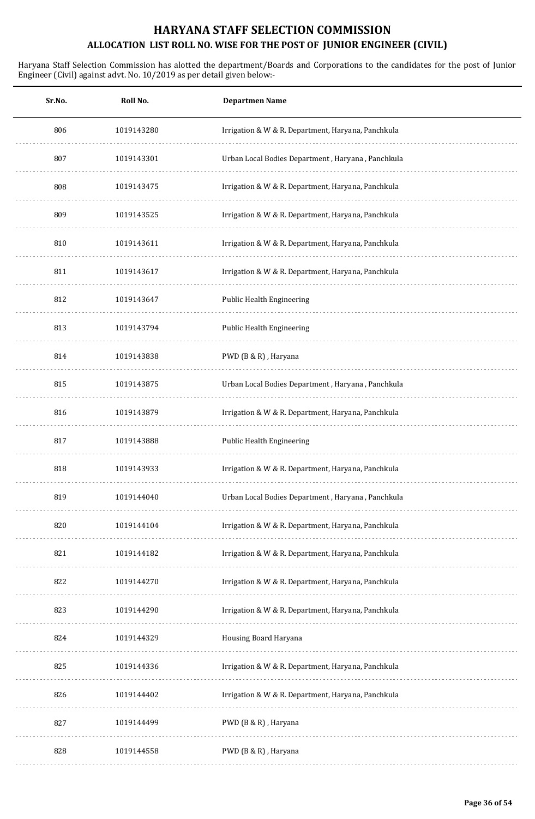| Sr.No. | Roll No.   | <b>Departmen Name</b>                              |
|--------|------------|----------------------------------------------------|
| 806    | 1019143280 | Irrigation & W & R. Department, Haryana, Panchkula |
| 807    | 1019143301 | Urban Local Bodies Department, Haryana, Panchkula  |
| 808    | 1019143475 | Irrigation & W & R. Department, Haryana, Panchkula |
| 809    | 1019143525 | Irrigation & W & R. Department, Haryana, Panchkula |
| 810    | 1019143611 | Irrigation & W & R. Department, Haryana, Panchkula |
| 811    | 1019143617 | Irrigation & W & R. Department, Haryana, Panchkula |
| 812    | 1019143647 | <b>Public Health Engineering</b>                   |
| 813    | 1019143794 | Public Health Engineering                          |
| 814    | 1019143838 | PWD (B & R), Haryana                               |
| 815    | 1019143875 | Urban Local Bodies Department, Haryana, Panchkula  |
| 816    | 1019143879 | Irrigation & W & R. Department, Haryana, Panchkula |
| 817    | 1019143888 | Public Health Engineering                          |
| 818    | 1019143933 | Irrigation & W & R. Department, Haryana, Panchkula |
| 819    | 1019144040 | Urban Local Bodies Department, Haryana, Panchkula  |
| 820    | 1019144104 | Irrigation & W & R. Department, Haryana, Panchkula |
| 821    | 1019144182 | Irrigation & W & R. Department, Haryana, Panchkula |
| 822    | 1019144270 | Irrigation & W & R. Department, Haryana, Panchkula |
| 823    | 1019144290 | Irrigation & W & R. Department, Haryana, Panchkula |
| 824    | 1019144329 | Housing Board Haryana                              |
| 825    | 1019144336 | Irrigation & W & R. Department, Haryana, Panchkula |
| 826    | 1019144402 | Irrigation & W & R. Department, Haryana, Panchkula |
| 827    | 1019144499 | PWD (B & R), Haryana                               |
| 828    | 1019144558 | PWD (B & R), Haryana                               |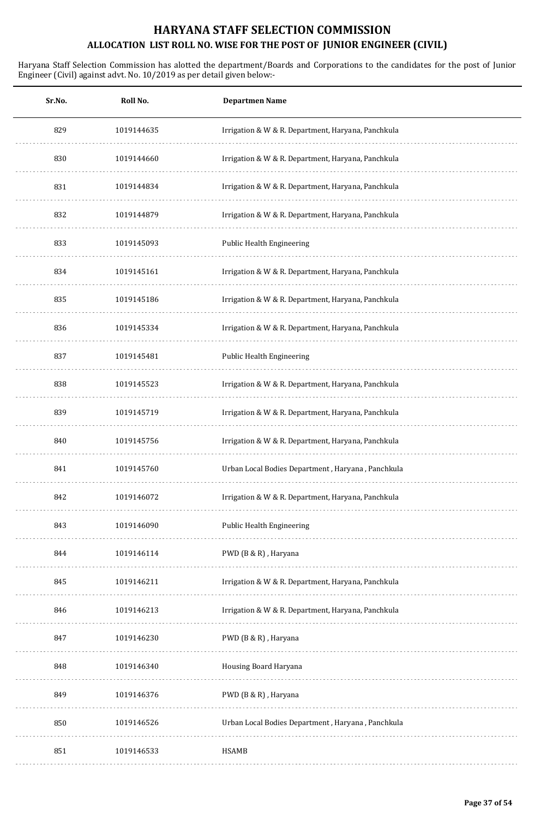| Sr.No. | Roll No.   | <b>Departmen Name</b>                              |
|--------|------------|----------------------------------------------------|
| 829    | 1019144635 | Irrigation & W & R. Department, Haryana, Panchkula |
| 830    | 1019144660 | Irrigation & W & R. Department, Haryana, Panchkula |
| 831    | 1019144834 | Irrigation & W & R. Department, Haryana, Panchkula |
| 832    | 1019144879 | Irrigation & W & R. Department, Haryana, Panchkula |
| 833    | 1019145093 | Public Health Engineering                          |
| 834    | 1019145161 | Irrigation & W & R. Department, Haryana, Panchkula |
| 835    | 1019145186 | Irrigation & W & R. Department, Haryana, Panchkula |
| 836    | 1019145334 | Irrigation & W & R. Department, Haryana, Panchkula |
| 837    | 1019145481 | <b>Public Health Engineering</b>                   |
| 838    | 1019145523 | Irrigation & W & R. Department, Haryana, Panchkula |
| 839    | 1019145719 | Irrigation & W & R. Department, Haryana, Panchkula |
| 840    | 1019145756 | Irrigation & W & R. Department, Haryana, Panchkula |
| 841    | 1019145760 | Urban Local Bodies Department, Haryana, Panchkula  |
| 842    | 1019146072 | Irrigation & W & R. Department, Haryana, Panchkula |
| 843    | 1019146090 | Public Health Engineering                          |
| 844    | 1019146114 | PWD (B & R), Haryana                               |
| 845    | 1019146211 | Irrigation & W & R. Department, Haryana, Panchkula |
| 846    | 1019146213 | Irrigation & W & R. Department, Haryana, Panchkula |
| 847    | 1019146230 | PWD (B & R), Haryana                               |
| 848    | 1019146340 | Housing Board Haryana                              |
| 849    | 1019146376 | PWD (B & R), Haryana                               |
| 850    | 1019146526 | Urban Local Bodies Department, Haryana, Panchkula  |
| 851    | 1019146533 | <b>HSAMB</b>                                       |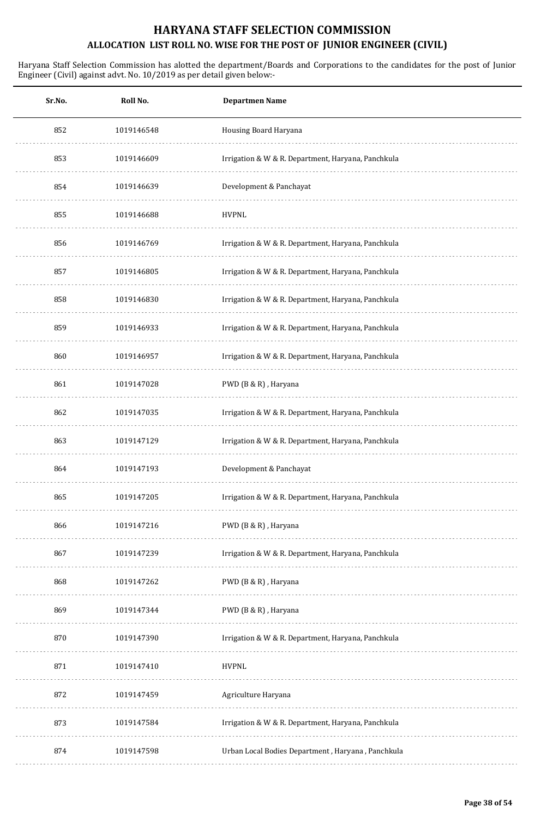| Sr.No. | Roll No.   | <b>Departmen Name</b>                              |
|--------|------------|----------------------------------------------------|
| 852    | 1019146548 | Housing Board Haryana                              |
| 853    | 1019146609 | Irrigation & W & R. Department, Haryana, Panchkula |
| 854    | 1019146639 | Development & Panchayat                            |
| 855    | 1019146688 | <b>HVPNL</b>                                       |
| 856    | 1019146769 | Irrigation & W & R. Department, Haryana, Panchkula |
| 857    | 1019146805 | Irrigation & W & R. Department, Haryana, Panchkula |
| 858    | 1019146830 | Irrigation & W & R. Department, Haryana, Panchkula |
| 859    | 1019146933 | Irrigation & W & R. Department, Haryana, Panchkula |
| 860    | 1019146957 | Irrigation & W & R. Department, Haryana, Panchkula |
| 861    | 1019147028 | PWD (B & R), Haryana                               |
| 862    | 1019147035 | Irrigation & W & R. Department, Haryana, Panchkula |
| 863    | 1019147129 | Irrigation & W & R. Department, Haryana, Panchkula |
| 864    | 1019147193 | Development & Panchayat                            |
| 865    | 1019147205 | Irrigation & W & R. Department, Haryana, Panchkula |
| 866    | 1019147216 | PWD (B & R), Haryana                               |
| 867    | 1019147239 | Irrigation & W & R. Department, Haryana, Panchkula |
| 868    | 1019147262 | PWD (B & R), Haryana                               |
| 869    | 1019147344 | PWD (B & R), Haryana                               |
| 870    | 1019147390 | Irrigation & W & R. Department, Haryana, Panchkula |
| 871    | 1019147410 | <b>HVPNL</b>                                       |
| 872    | 1019147459 | Agriculture Haryana                                |
| 873    | 1019147584 | Irrigation & W & R. Department, Haryana, Panchkula |
| 874    | 1019147598 | Urban Local Bodies Department, Haryana, Panchkula  |
|        |            |                                                    |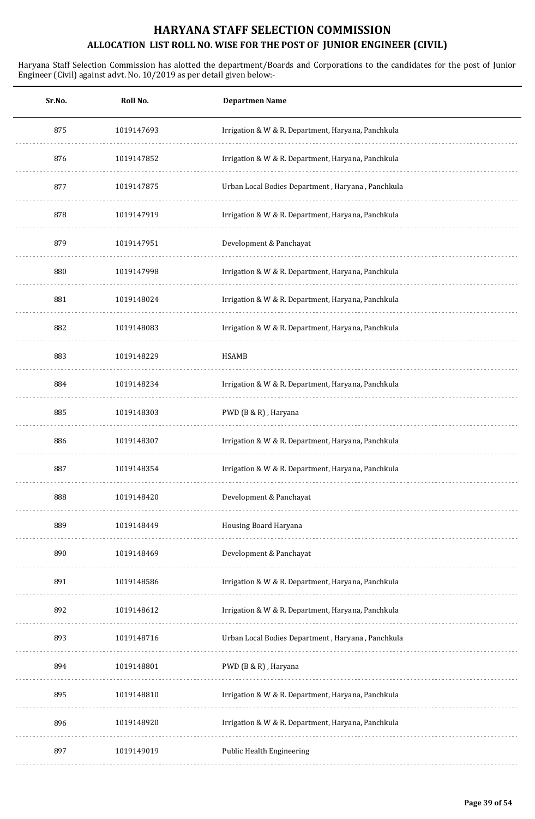| Sr.No. | Roll No.   | <b>Departmen Name</b>                              |
|--------|------------|----------------------------------------------------|
| 875    | 1019147693 | Irrigation & W & R. Department, Haryana, Panchkula |
| 876    | 1019147852 | Irrigation & W & R. Department, Haryana, Panchkula |
| 877    | 1019147875 | Urban Local Bodies Department, Haryana, Panchkula  |
| 878    | 1019147919 | Irrigation & W & R. Department, Haryana, Panchkula |
| 879    | 1019147951 | Development & Panchayat                            |
| 880    | 1019147998 | Irrigation & W & R. Department, Haryana, Panchkula |
| 881    | 1019148024 | Irrigation & W & R. Department, Haryana, Panchkula |
| 882    | 1019148083 | Irrigation & W & R. Department, Haryana, Panchkula |
| 883    | 1019148229 | <b>HSAMB</b>                                       |
| 884    | 1019148234 | Irrigation & W & R. Department, Haryana, Panchkula |
| 885    | 1019148303 | PWD (B & R), Haryana                               |
| 886    | 1019148307 | Irrigation & W & R. Department, Haryana, Panchkula |
| 887    | 1019148354 | Irrigation & W & R. Department, Haryana, Panchkula |
| 888    | 1019148420 | Development & Panchayat                            |
| 889    | 1019148449 | Housing Board Haryana                              |
| 890    | 1019148469 | Development & Panchayat                            |
| 891    | 1019148586 | Irrigation & W & R. Department, Haryana, Panchkula |
| 892    | 1019148612 | Irrigation & W & R. Department, Haryana, Panchkula |
| 893    | 1019148716 | Urban Local Bodies Department, Haryana, Panchkula  |
| 894    | 1019148801 | PWD (B & R), Haryana                               |
| 895    | 1019148810 | Irrigation & W & R. Department, Haryana, Panchkula |
| 896    | 1019148920 | Irrigation & W & R. Department, Haryana, Panchkula |
| 897    | 1019149019 | Public Health Engineering                          |
|        |            |                                                    |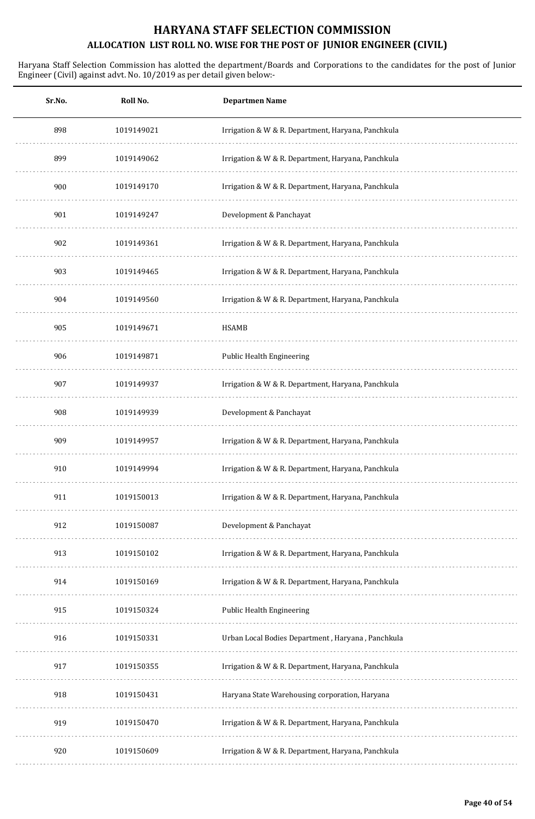| Roll No.   | <b>Departmen Name</b>                              |
|------------|----------------------------------------------------|
| 1019149021 | Irrigation & W & R. Department, Haryana, Panchkula |
| 1019149062 | Irrigation & W & R. Department, Haryana, Panchkula |
| 1019149170 | Irrigation & W & R. Department, Haryana, Panchkula |
| 1019149247 | Development & Panchayat                            |
| 1019149361 | Irrigation & W & R. Department, Haryana, Panchkula |
| 1019149465 | Irrigation & W & R. Department, Haryana, Panchkula |
| 1019149560 | Irrigation & W & R. Department, Haryana, Panchkula |
| 1019149671 | HSAMB                                              |
| 1019149871 | <b>Public Health Engineering</b>                   |
| 1019149937 | Irrigation & W & R. Department, Haryana, Panchkula |
| 1019149939 | Development & Panchayat                            |
| 1019149957 | Irrigation & W & R. Department, Haryana, Panchkula |
| 1019149994 | Irrigation & W & R. Department, Haryana, Panchkula |
| 1019150013 | Irrigation & W & R. Department, Haryana, Panchkula |
| 1019150087 | Development & Panchayat                            |
| 1019150102 | Irrigation & W & R. Department, Haryana, Panchkula |
| 1019150169 | Irrigation & W & R. Department, Haryana, Panchkula |
| 1019150324 | Public Health Engineering                          |
| 1019150331 | Urban Local Bodies Department, Haryana, Panchkula  |
| 1019150355 | Irrigation & W & R. Department, Haryana, Panchkula |
| 1019150431 | Haryana State Warehousing corporation, Haryana     |
| 1019150470 | Irrigation & W & R. Department, Haryana, Panchkula |
| 1019150609 | Irrigation & W & R. Department, Haryana, Panchkula |
|            |                                                    |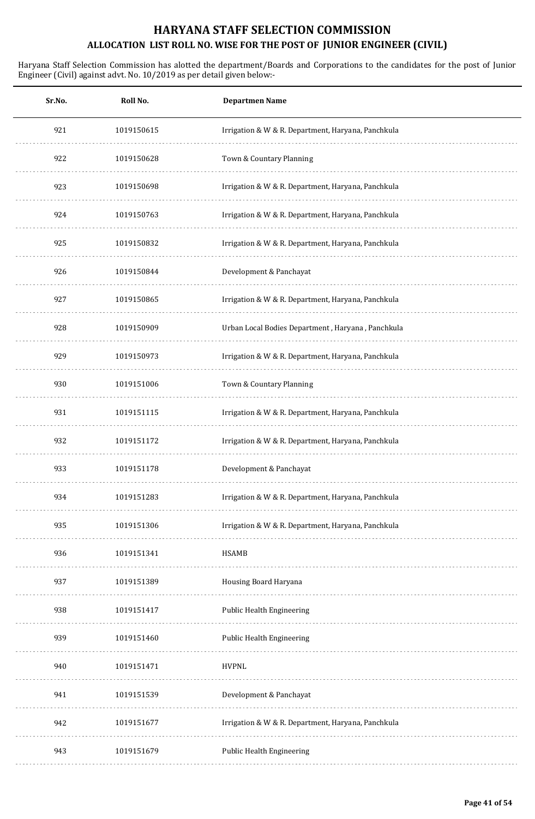| Sr.No. | Roll No.   | <b>Departmen Name</b>                              |
|--------|------------|----------------------------------------------------|
| 921    | 1019150615 | Irrigation & W & R. Department, Haryana, Panchkula |
| 922    | 1019150628 | Town & Countary Planning                           |
| 923    | 1019150698 | Irrigation & W & R. Department, Haryana, Panchkula |
| 924    | 1019150763 | Irrigation & W & R. Department, Haryana, Panchkula |
| 925    | 1019150832 | Irrigation & W & R. Department, Haryana, Panchkula |
| 926    | 1019150844 | Development & Panchayat                            |
| 927    | 1019150865 | Irrigation & W & R. Department, Haryana, Panchkula |
| 928    | 1019150909 | Urban Local Bodies Department, Haryana, Panchkula  |
| 929    | 1019150973 | Irrigation & W & R. Department, Haryana, Panchkula |
| 930    | 1019151006 | Town & Countary Planning                           |
| 931    | 1019151115 | Irrigation & W & R. Department, Haryana, Panchkula |
| 932    | 1019151172 | Irrigation & W & R. Department, Haryana, Panchkula |
| 933    | 1019151178 | Development & Panchayat                            |
| 934    | 1019151283 | Irrigation & W & R. Department, Haryana, Panchkula |
| 935    | 1019151306 | Irrigation & W & R. Department, Haryana, Panchkula |
| 936    | 1019151341 | <b>HSAMB</b>                                       |
| 937    | 1019151389 | Housing Board Haryana                              |
| 938    | 1019151417 | Public Health Engineering                          |
| 939    | 1019151460 | Public Health Engineering                          |
| 940    | 1019151471 | <b>HVPNL</b>                                       |
| 941    | 1019151539 | Development & Panchayat                            |
| 942    | 1019151677 | Irrigation & W & R. Department, Haryana, Panchkula |
| 943    | 1019151679 | Public Health Engineering                          |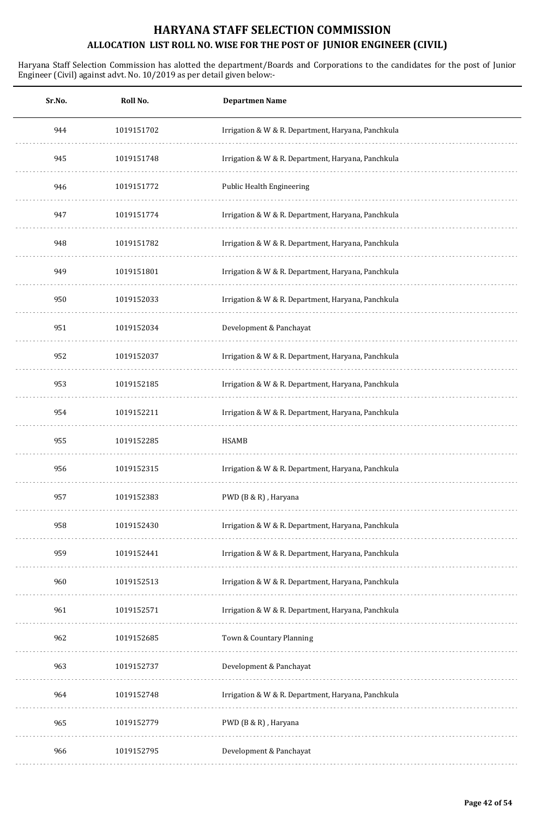| Sr.No. | Roll No.   | <b>Departmen Name</b>                              |
|--------|------------|----------------------------------------------------|
| 944    | 1019151702 | Irrigation & W & R. Department, Haryana, Panchkula |
| 945    | 1019151748 | Irrigation & W & R. Department, Haryana, Panchkula |
| 946    | 1019151772 | <b>Public Health Engineering</b>                   |
| 947    | 1019151774 | Irrigation & W & R. Department, Haryana, Panchkula |
| 948    | 1019151782 | Irrigation & W & R. Department, Haryana, Panchkula |
| 949    | 1019151801 | Irrigation & W & R. Department, Haryana, Panchkula |
| 950    | 1019152033 | Irrigation & W & R. Department, Haryana, Panchkula |
| 951    | 1019152034 | Development & Panchayat                            |
| 952    | 1019152037 | Irrigation & W & R. Department, Haryana, Panchkula |
| 953    | 1019152185 | Irrigation & W & R. Department, Haryana, Panchkula |
| 954    | 1019152211 | Irrigation & W & R. Department, Haryana, Panchkula |
| 955    | 1019152285 | <b>HSAMB</b>                                       |
| 956    | 1019152315 | Irrigation & W & R. Department, Haryana, Panchkula |
| 957    | 1019152383 | PWD (B & R), Haryana                               |
| 958    | 1019152430 | Irrigation & W & R. Department, Haryana, Panchkula |
| 959    | 1019152441 | Irrigation & W & R. Department, Haryana, Panchkula |
| 960    | 1019152513 | Irrigation & W & R. Department, Haryana, Panchkula |
| 961    | 1019152571 | Irrigation & W & R. Department, Haryana, Panchkula |
| 962    | 1019152685 | Town & Countary Planning                           |
| 963    | 1019152737 | Development & Panchayat                            |
| 964    | 1019152748 | Irrigation & W & R. Department, Haryana, Panchkula |
| 965    | 1019152779 | PWD (B & R), Haryana                               |
| 966    | 1019152795 | Development & Panchayat                            |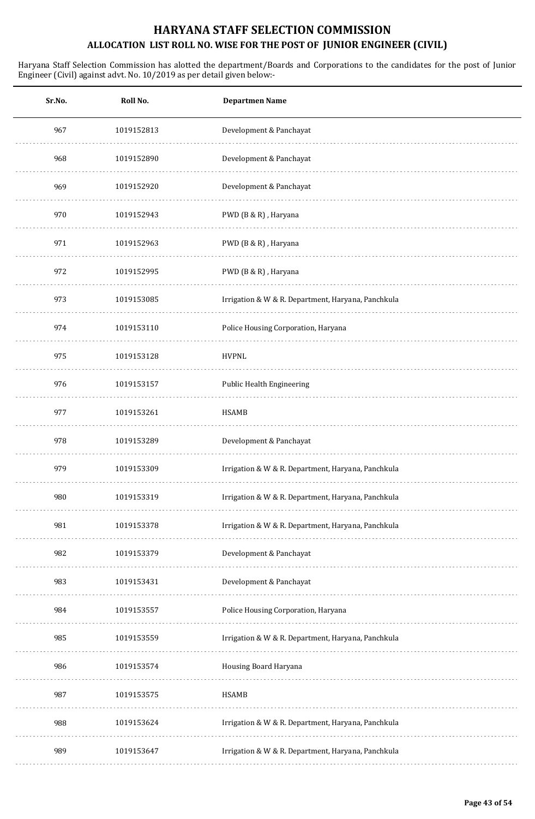| Sr.No. | Roll No.   | <b>Departmen Name</b>                              |
|--------|------------|----------------------------------------------------|
| 967    | 1019152813 | Development & Panchayat                            |
| 968    | 1019152890 | Development & Panchayat                            |
| 969    | 1019152920 | Development & Panchayat                            |
| 970    | 1019152943 | PWD (B & R), Haryana                               |
| 971    | 1019152963 | PWD (B & R), Haryana                               |
| 972    | 1019152995 | PWD (B & R), Haryana                               |
| 973    | 1019153085 | Irrigation & W & R. Department, Haryana, Panchkula |
| 974    | 1019153110 | Police Housing Corporation, Haryana                |
| 975    | 1019153128 | <b>HVPNL</b>                                       |
| 976    | 1019153157 | Public Health Engineering                          |
| 977    | 1019153261 | <b>HSAMB</b>                                       |
| 978    | 1019153289 | Development & Panchayat                            |
| 979    | 1019153309 | Irrigation & W & R. Department, Haryana, Panchkula |
| 980    | 1019153319 | Irrigation & W & R. Department, Haryana, Panchkula |
| 981    | 1019153378 | Irrigation & W & R. Department, Haryana, Panchkula |
| 982    | 1019153379 | Development & Panchayat                            |
| 983    | 1019153431 | Development & Panchayat                            |
| 984    | 1019153557 | Police Housing Corporation, Haryana                |
| 985    | 1019153559 | Irrigation & W & R. Department, Haryana, Panchkula |
| 986    | 1019153574 | Housing Board Haryana                              |
| 987    | 1019153575 | <b>HSAMB</b>                                       |
| 988    | 1019153624 | Irrigation & W & R. Department, Haryana, Panchkula |
| 989    | 1019153647 | Irrigation & W & R. Department, Haryana, Panchkula |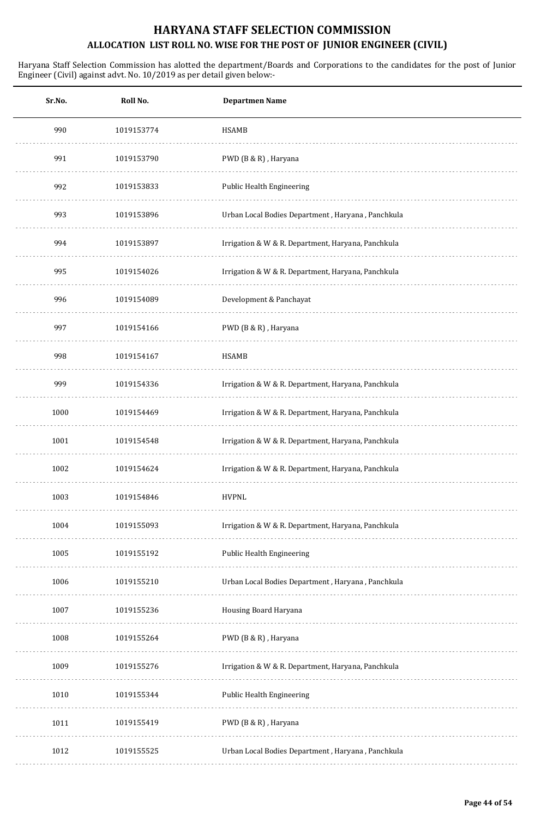| Sr.No. | Roll No.   | <b>Departmen Name</b>                              |
|--------|------------|----------------------------------------------------|
| 990    | 1019153774 | <b>HSAMB</b>                                       |
| 991    | 1019153790 | PWD (B & R), Haryana                               |
| 992    | 1019153833 | Public Health Engineering                          |
| 993    | 1019153896 | Urban Local Bodies Department, Haryana, Panchkula  |
| 994    | 1019153897 | Irrigation & W & R. Department, Haryana, Panchkula |
| 995    | 1019154026 | Irrigation & W & R. Department, Haryana, Panchkula |
| 996    | 1019154089 | Development & Panchayat                            |
| 997    | 1019154166 | PWD (B & R), Haryana                               |
| 998    | 1019154167 | <b>HSAMB</b>                                       |
| 999    | 1019154336 | Irrigation & W & R. Department, Haryana, Panchkula |
| 1000   | 1019154469 | Irrigation & W & R. Department, Haryana, Panchkula |
| 1001   | 1019154548 | Irrigation & W & R. Department, Haryana, Panchkula |
| 1002   | 1019154624 | Irrigation & W & R. Department, Haryana, Panchkula |
| 1003   | 1019154846 | <b>HVPNL</b>                                       |
| 1004   | 1019155093 | Irrigation & W & R. Department, Haryana, Panchkula |
| 1005   | 1019155192 | Public Health Engineering                          |
| 1006   | 1019155210 | Urban Local Bodies Department, Haryana, Panchkula  |
| 1007   | 1019155236 | Housing Board Haryana                              |
| 1008   | 1019155264 | PWD (B & R), Haryana                               |
| 1009   | 1019155276 | Irrigation & W & R. Department, Haryana, Panchkula |
| 1010   | 1019155344 | Public Health Engineering                          |
| 1011   | 1019155419 | PWD (B & R), Haryana                               |
| 1012   | 1019155525 | Urban Local Bodies Department, Haryana, Panchkula  |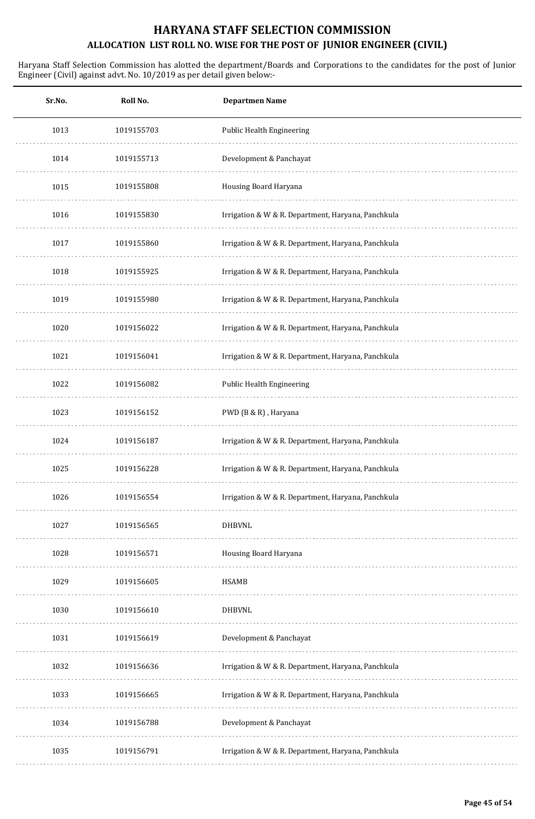| Sr.No. | Roll No.   | <b>Departmen Name</b>                              |
|--------|------------|----------------------------------------------------|
| 1013   | 1019155703 | Public Health Engineering                          |
| 1014   | 1019155713 | Development & Panchayat                            |
| 1015   | 1019155808 | Housing Board Haryana                              |
| 1016   | 1019155830 | Irrigation & W & R. Department, Haryana, Panchkula |
| 1017   | 1019155860 | Irrigation & W & R. Department, Haryana, Panchkula |
| 1018   | 1019155925 | Irrigation & W & R. Department, Haryana, Panchkula |
| 1019   | 1019155980 | Irrigation & W & R. Department, Haryana, Panchkula |
| 1020   | 1019156022 | Irrigation & W & R. Department, Haryana, Panchkula |
| 1021   | 1019156041 | Irrigation & W & R. Department, Haryana, Panchkula |
| 1022   | 1019156082 | Public Health Engineering                          |
| 1023   | 1019156152 | PWD (B & R), Haryana                               |
| 1024   | 1019156187 | Irrigation & W & R. Department, Haryana, Panchkula |
| 1025   | 1019156228 | Irrigation & W & R. Department, Haryana, Panchkula |
| 1026   | 1019156554 | Irrigation & W & R. Department, Haryana, Panchkula |
| 1027   | 1019156565 | <b>DHBVNL</b>                                      |
| 1028   | 1019156571 | Housing Board Haryana                              |
| 1029   | 1019156605 | <b>HSAMB</b>                                       |
| 1030   | 1019156610 | <b>DHBVNL</b>                                      |
| 1031   | 1019156619 | Development & Panchayat                            |
| 1032   | 1019156636 | Irrigation & W & R. Department, Haryana, Panchkula |
| 1033   | 1019156665 | Irrigation & W & R. Department, Haryana, Panchkula |
| 1034   | 1019156788 | Development & Panchayat                            |
| 1035   | 1019156791 | Irrigation & W & R. Department, Haryana, Panchkula |
|        |            |                                                    |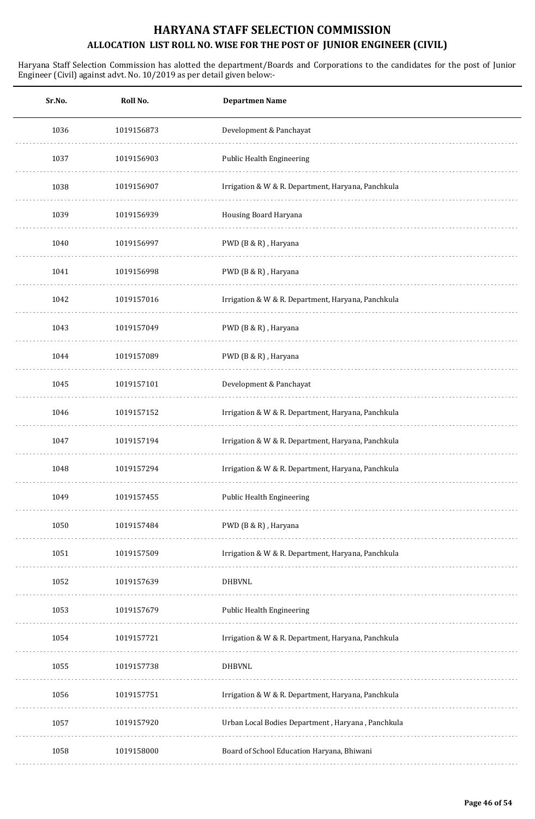| Sr.No. | Roll No.   | <b>Departmen Name</b>                              |
|--------|------------|----------------------------------------------------|
| 1036   | 1019156873 | Development & Panchayat                            |
| 1037   | 1019156903 | Public Health Engineering                          |
| 1038   | 1019156907 | Irrigation & W & R. Department, Haryana, Panchkula |
| 1039   | 1019156939 | Housing Board Haryana                              |
| 1040   | 1019156997 | PWD (B & R), Haryana                               |
| 1041   | 1019156998 | PWD (B & R), Haryana                               |
| 1042   | 1019157016 | Irrigation & W & R. Department, Haryana, Panchkula |
| 1043   | 1019157049 | PWD (B & R), Haryana                               |
| 1044   | 1019157089 | PWD (B & R), Haryana                               |
| 1045   | 1019157101 | Development & Panchayat                            |
| 1046   | 1019157152 | Irrigation & W & R. Department, Haryana, Panchkula |
| 1047   | 1019157194 | Irrigation & W & R. Department, Haryana, Panchkula |
| 1048   | 1019157294 | Irrigation & W & R. Department, Haryana, Panchkula |
| 1049   | 1019157455 | Public Health Engineering                          |
| 1050   | 1019157484 | PWD (B & R), Haryana                               |
| 1051   | 1019157509 | Irrigation & W & R. Department, Haryana, Panchkula |
| 1052   | 1019157639 | <b>DHBVNL</b>                                      |
| 1053   | 1019157679 | Public Health Engineering                          |
| 1054   | 1019157721 | Irrigation & W & R. Department, Haryana, Panchkula |
| 1055   | 1019157738 | <b>DHBVNL</b>                                      |
| 1056   | 1019157751 | Irrigation & W & R. Department, Haryana, Panchkula |
| 1057   | 1019157920 | Urban Local Bodies Department, Haryana, Panchkula  |
| 1058   | 1019158000 | Board of School Education Haryana, Bhiwani         |
|        |            |                                                    |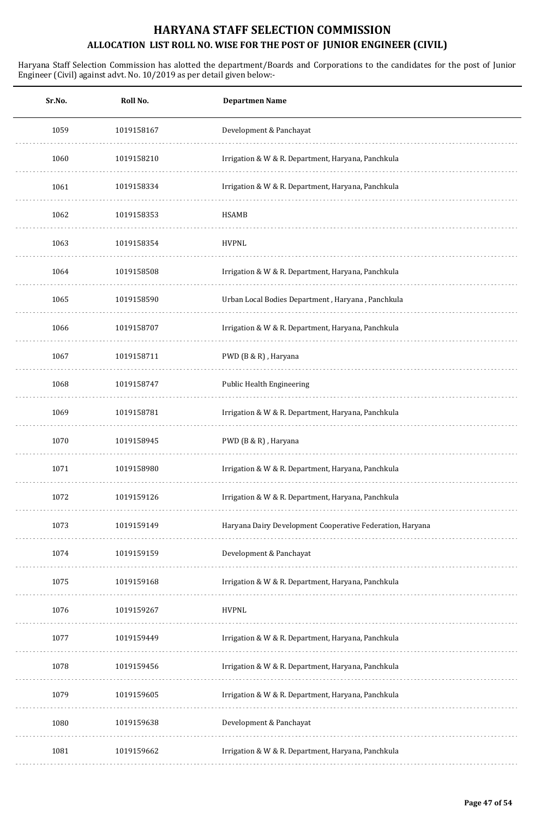| Sr.No. | Roll No.   | <b>Departmen Name</b>                                     |
|--------|------------|-----------------------------------------------------------|
| 1059   | 1019158167 | Development & Panchayat                                   |
| 1060   | 1019158210 | Irrigation & W & R. Department, Haryana, Panchkula        |
| 1061   | 1019158334 | Irrigation & W & R. Department, Haryana, Panchkula        |
| 1062   | 1019158353 | <b>HSAMB</b>                                              |
| 1063   | 1019158354 | <b>HVPNL</b>                                              |
| 1064   | 1019158508 | Irrigation & W & R. Department, Haryana, Panchkula        |
| 1065   | 1019158590 | Urban Local Bodies Department, Haryana, Panchkula         |
| 1066   | 1019158707 | Irrigation & W & R. Department, Haryana, Panchkula        |
| 1067   | 1019158711 | PWD (B & R), Haryana                                      |
| 1068   | 1019158747 | Public Health Engineering                                 |
| 1069   | 1019158781 | Irrigation & W & R. Department, Haryana, Panchkula        |
| 1070   | 1019158945 | PWD (B & R), Haryana                                      |
| 1071   | 1019158980 | Irrigation & W & R. Department, Haryana, Panchkula        |
| 1072   | 1019159126 | Irrigation & W & R. Department, Haryana, Panchkula        |
| 1073   | 1019159149 | Haryana Dairy Development Cooperative Federation, Haryana |
| 1074   | 1019159159 | Development & Panchayat                                   |
| 1075   | 1019159168 | Irrigation & W & R. Department, Haryana, Panchkula        |
| 1076   | 1019159267 | <b>HVPNL</b>                                              |
| 1077   | 1019159449 | Irrigation & W & R. Department, Haryana, Panchkula        |
| 1078   | 1019159456 | Irrigation & W & R. Department, Haryana, Panchkula        |
| 1079   | 1019159605 | Irrigation & W & R. Department, Haryana, Panchkula        |
| 1080   | 1019159638 | Development & Panchayat                                   |
| 1081   | 1019159662 | Irrigation & W & R. Department, Haryana, Panchkula        |
|        |            |                                                           |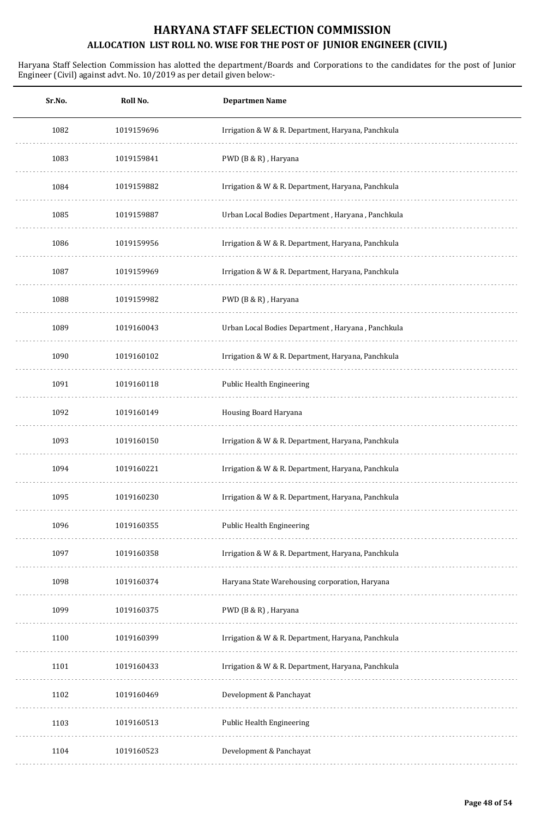| Sr.No. | Roll No.   | <b>Departmen Name</b>                              |
|--------|------------|----------------------------------------------------|
| 1082   | 1019159696 | Irrigation & W & R. Department, Haryana, Panchkula |
| 1083   | 1019159841 | PWD (B & R), Haryana                               |
| 1084   | 1019159882 | Irrigation & W & R. Department, Haryana, Panchkula |
| 1085   | 1019159887 | Urban Local Bodies Department, Haryana, Panchkula  |
| 1086   | 1019159956 | Irrigation & W & R. Department, Haryana, Panchkula |
| 1087   | 1019159969 | Irrigation & W & R. Department, Haryana, Panchkula |
| 1088   | 1019159982 | PWD (B & R), Haryana                               |
| 1089   | 1019160043 | Urban Local Bodies Department, Haryana, Panchkula  |
| 1090   | 1019160102 | Irrigation & W & R. Department, Haryana, Panchkula |
| 1091   | 1019160118 | Public Health Engineering                          |
| 1092   | 1019160149 | Housing Board Haryana                              |
| 1093   | 1019160150 | Irrigation & W & R. Department, Haryana, Panchkula |
| 1094   | 1019160221 | Irrigation & W & R. Department, Haryana, Panchkula |
| 1095   | 1019160230 | Irrigation & W & R. Department, Haryana, Panchkula |
| 1096   | 1019160355 | Public Health Engineering                          |
| 1097   | 1019160358 | Irrigation & W & R. Department, Haryana, Panchkula |
| 1098   | 1019160374 | Haryana State Warehousing corporation, Haryana     |
| 1099   | 1019160375 | PWD (B & R), Haryana                               |
| 1100   | 1019160399 | Irrigation & W & R. Department, Haryana, Panchkula |
| 1101   | 1019160433 | Irrigation & W & R. Department, Haryana, Panchkula |
| 1102   | 1019160469 | Development & Panchayat                            |
| 1103   | 1019160513 | Public Health Engineering                          |
| 1104   | 1019160523 | Development & Panchayat                            |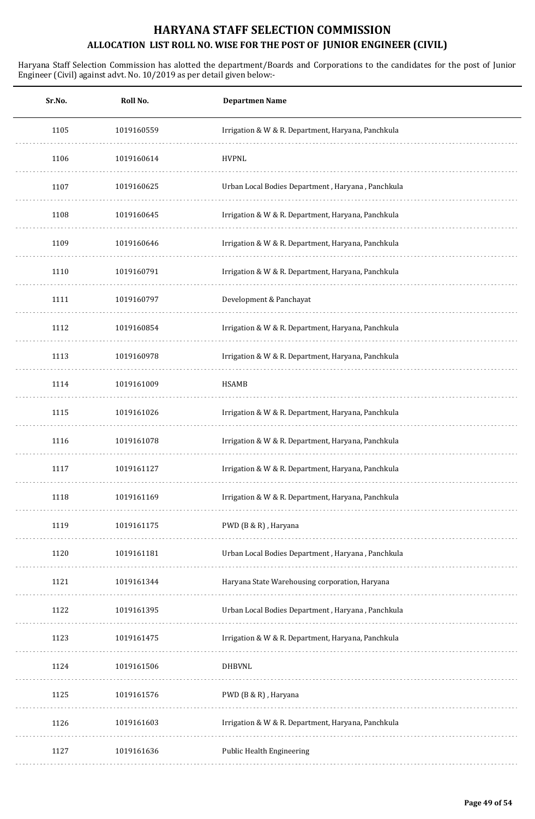| Sr.No. | Roll No.   | <b>Departmen Name</b>                              |
|--------|------------|----------------------------------------------------|
| 1105   | 1019160559 | Irrigation & W & R. Department, Haryana, Panchkula |
| 1106   | 1019160614 | <b>HVPNL</b>                                       |
| 1107   | 1019160625 | Urban Local Bodies Department, Haryana, Panchkula  |
| 1108   | 1019160645 | Irrigation & W & R. Department, Haryana, Panchkula |
| 1109   | 1019160646 | Irrigation & W & R. Department, Haryana, Panchkula |
| 1110   | 1019160791 | Irrigation & W & R. Department, Haryana, Panchkula |
| 1111   | 1019160797 | Development & Panchayat                            |
| 1112   | 1019160854 | Irrigation & W & R. Department, Haryana, Panchkula |
| 1113   | 1019160978 | Irrigation & W & R. Department, Haryana, Panchkula |
| 1114   | 1019161009 | <b>HSAMB</b>                                       |
| 1115   | 1019161026 | Irrigation & W & R. Department, Haryana, Panchkula |
| 1116   | 1019161078 | Irrigation & W & R. Department, Haryana, Panchkula |
| 1117   | 1019161127 | Irrigation & W & R. Department, Haryana, Panchkula |
| 1118   | 1019161169 | Irrigation & W & R. Department, Haryana, Panchkula |
| 1119   | 1019161175 | PWD (B & R), Haryana                               |
| 1120   | 1019161181 | Urban Local Bodies Department, Haryana, Panchkula  |
| 1121   | 1019161344 | Haryana State Warehousing corporation, Haryana     |
| 1122   | 1019161395 | Urban Local Bodies Department, Haryana, Panchkula  |
| 1123   | 1019161475 | Irrigation & W & R. Department, Haryana, Panchkula |
| 1124   | 1019161506 | <b>DHBVNL</b>                                      |
| 1125   | 1019161576 | PWD (B & R), Haryana                               |
| 1126   | 1019161603 | Irrigation & W & R. Department, Haryana, Panchkula |
| 1127   | 1019161636 | Public Health Engineering                          |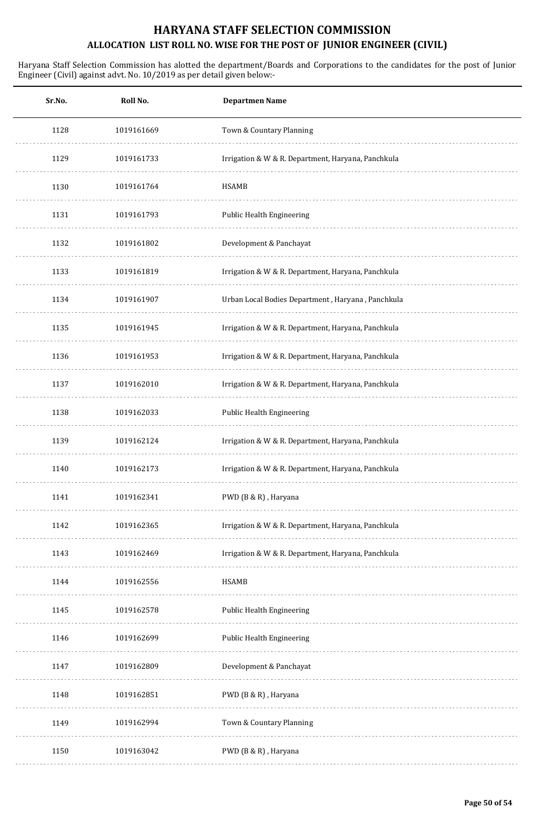| Sr.No. | Roll No.   | <b>Departmen Name</b>                              |
|--------|------------|----------------------------------------------------|
| 1128   | 1019161669 | Town & Countary Planning                           |
| 1129   | 1019161733 | Irrigation & W & R. Department, Haryana, Panchkula |
| 1130   | 1019161764 | <b>HSAMB</b>                                       |
| 1131   | 1019161793 | Public Health Engineering                          |
| 1132   | 1019161802 | Development & Panchayat                            |
| 1133   | 1019161819 | Irrigation & W & R. Department, Haryana, Panchkula |
| 1134   | 1019161907 | Urban Local Bodies Department, Haryana, Panchkula  |
| 1135   | 1019161945 | Irrigation & W & R. Department, Haryana, Panchkula |
| 1136   | 1019161953 | Irrigation & W & R. Department, Haryana, Panchkula |
| 1137   | 1019162010 | Irrigation & W & R. Department, Haryana, Panchkula |
| 1138   | 1019162033 | Public Health Engineering                          |
| 1139   | 1019162124 | Irrigation & W & R. Department, Haryana, Panchkula |
| 1140   | 1019162173 | Irrigation & W & R. Department, Haryana, Panchkula |
| 1141   | 1019162341 | PWD (B & R), Haryana                               |
| 1142   | 1019162365 | Irrigation & W & R. Department, Haryana, Panchkula |
| 1143   | 1019162469 | Irrigation & W & R. Department, Haryana, Panchkula |
| 1144   | 1019162556 | <b>HSAMB</b>                                       |
| 1145   | 1019162578 | Public Health Engineering                          |
| 1146   | 1019162699 | Public Health Engineering                          |
| 1147   | 1019162809 | Development & Panchayat                            |
| 1148   | 1019162851 | PWD (B & R), Haryana                               |
| 1149   | 1019162994 | Town & Countary Planning                           |
| 1150   | 1019163042 | PWD (B & R), Haryana                               |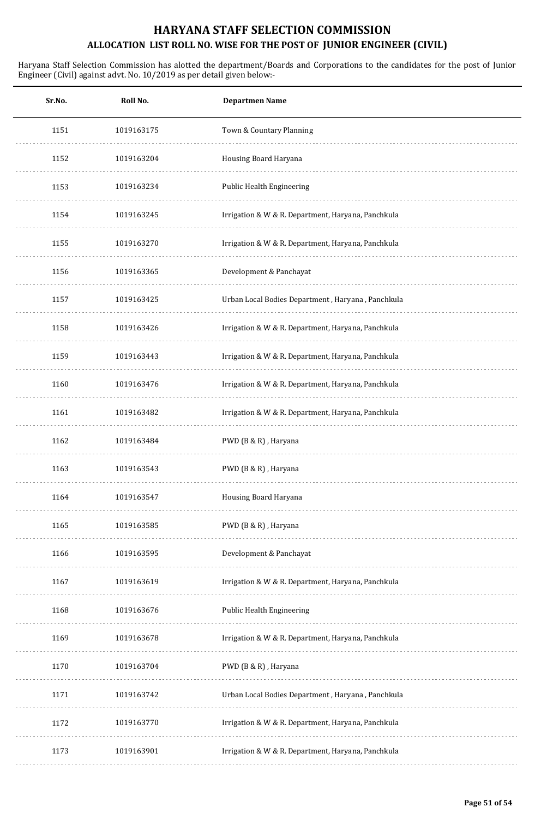| Sr.No. | Roll No.   | <b>Departmen Name</b>                              |
|--------|------------|----------------------------------------------------|
| 1151   | 1019163175 | Town & Countary Planning                           |
| 1152   | 1019163204 | Housing Board Haryana                              |
| 1153   | 1019163234 | <b>Public Health Engineering</b>                   |
| 1154   | 1019163245 | Irrigation & W & R. Department, Haryana, Panchkula |
| 1155   | 1019163270 | Irrigation & W & R. Department, Haryana, Panchkula |
| 1156   | 1019163365 | Development & Panchayat                            |
| 1157   | 1019163425 | Urban Local Bodies Department, Haryana, Panchkula  |
| 1158   | 1019163426 | Irrigation & W & R. Department, Haryana, Panchkula |
| 1159   | 1019163443 | Irrigation & W & R. Department, Haryana, Panchkula |
| 1160   | 1019163476 | Irrigation & W & R. Department, Haryana, Panchkula |
| 1161   | 1019163482 | Irrigation & W & R. Department, Haryana, Panchkula |
| 1162   | 1019163484 | PWD (B & R), Haryana                               |
| 1163   | 1019163543 | PWD (B & R), Haryana                               |
| 1164   | 1019163547 | Housing Board Haryana                              |
| 1165   | 1019163585 | PWD (B & R), Haryana                               |
| 1166   | 1019163595 | Development & Panchayat                            |
| 1167   | 1019163619 | Irrigation & W & R. Department, Haryana, Panchkula |
| 1168   | 1019163676 | Public Health Engineering                          |
| 1169   | 1019163678 | Irrigation & W & R. Department, Haryana, Panchkula |
| 1170   | 1019163704 | PWD (B & R), Haryana                               |
| 1171   | 1019163742 | Urban Local Bodies Department, Haryana, Panchkula  |
| 1172   | 1019163770 | Irrigation & W & R. Department, Haryana, Panchkula |
| 1173   | 1019163901 | Irrigation & W & R. Department, Haryana, Panchkula |
|        |            |                                                    |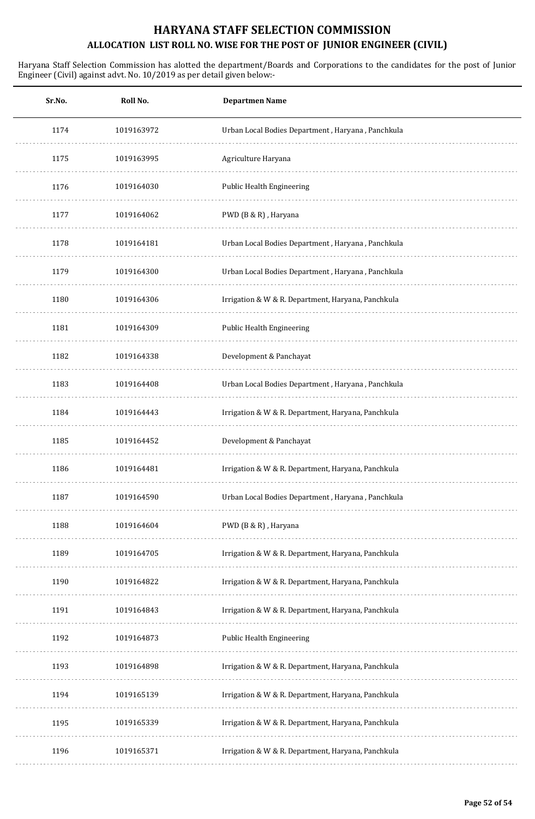| Sr.No. | Roll No.   | <b>Departmen Name</b>                              |
|--------|------------|----------------------------------------------------|
| 1174   | 1019163972 | Urban Local Bodies Department, Haryana, Panchkula  |
| 1175   | 1019163995 | Agriculture Haryana                                |
| 1176   | 1019164030 | Public Health Engineering                          |
| 1177   | 1019164062 | PWD (B & R), Haryana                               |
| 1178   | 1019164181 | Urban Local Bodies Department, Haryana, Panchkula  |
| 1179   | 1019164300 | Urban Local Bodies Department, Haryana, Panchkula  |
| 1180   | 1019164306 | Irrigation & W & R. Department, Haryana, Panchkula |
| 1181   | 1019164309 | Public Health Engineering                          |
| 1182   | 1019164338 | Development & Panchayat                            |
| 1183   | 1019164408 | Urban Local Bodies Department, Haryana, Panchkula  |
| 1184   | 1019164443 | Irrigation & W & R. Department, Haryana, Panchkula |
| 1185   | 1019164452 | Development & Panchayat                            |
| 1186   | 1019164481 | Irrigation & W & R. Department, Haryana, Panchkula |
| 1187   | 1019164590 | Urban Local Bodies Department, Haryana, Panchkula  |
| 1188   | 1019164604 | PWD (B & R), Haryana                               |
| 1189   | 1019164705 | Irrigation & W & R. Department, Haryana, Panchkula |
| 1190   | 1019164822 | Irrigation & W & R. Department, Haryana, Panchkula |
| 1191   | 1019164843 | Irrigation & W & R. Department, Haryana, Panchkula |
| 1192   | 1019164873 | Public Health Engineering                          |
| 1193   | 1019164898 | Irrigation & W & R. Department, Haryana, Panchkula |
| 1194   | 1019165139 | Irrigation & W & R. Department, Haryana, Panchkula |
| 1195   | 1019165339 | Irrigation & W & R. Department, Haryana, Panchkula |
| 1196   | 1019165371 | Irrigation & W & R. Department, Haryana, Panchkula |
|        |            |                                                    |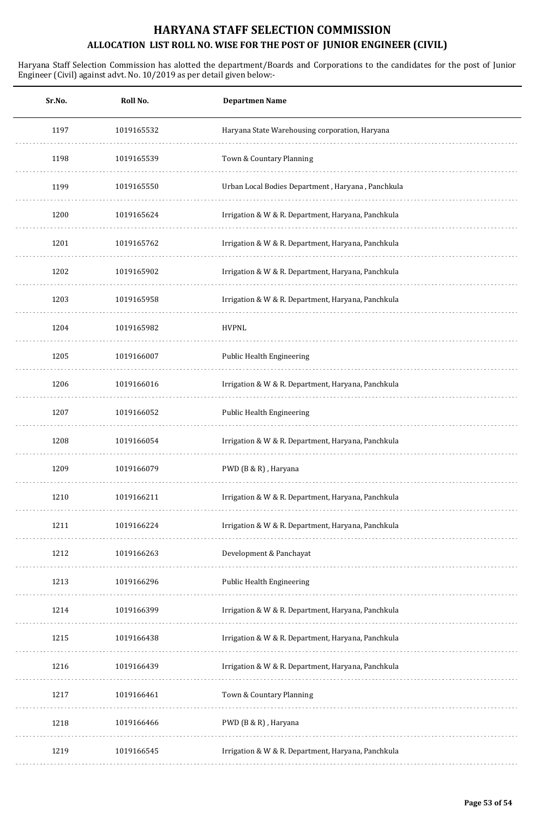| Sr.No. | Roll No.   | <b>Departmen Name</b>                              |
|--------|------------|----------------------------------------------------|
| 1197   | 1019165532 | Haryana State Warehousing corporation, Haryana     |
| 1198   | 1019165539 | Town & Countary Planning                           |
| 1199   | 1019165550 | Urban Local Bodies Department, Haryana, Panchkula  |
| 1200   | 1019165624 | Irrigation & W & R. Department, Haryana, Panchkula |
| 1201   | 1019165762 | Irrigation & W & R. Department, Haryana, Panchkula |
| 1202   | 1019165902 | Irrigation & W & R. Department, Haryana, Panchkula |
| 1203   | 1019165958 | Irrigation & W & R. Department, Haryana, Panchkula |
| 1204   | 1019165982 | <b>HVPNL</b>                                       |
| 1205   | 1019166007 | <b>Public Health Engineering</b>                   |
| 1206   | 1019166016 | Irrigation & W & R. Department, Haryana, Panchkula |
| 1207   | 1019166052 | Public Health Engineering                          |
| 1208   | 1019166054 | Irrigation & W & R. Department, Haryana, Panchkula |
| 1209   | 1019166079 | PWD (B & R), Haryana                               |
| 1210   | 1019166211 | Irrigation & W & R. Department, Haryana, Panchkula |
| 1211   | 1019166224 | Irrigation & W & R. Department, Haryana, Panchkula |
| 1212   | 1019166263 | Development & Panchayat                            |
| 1213   | 1019166296 | Public Health Engineering                          |
| 1214   | 1019166399 | Irrigation & W & R. Department, Haryana, Panchkula |
| 1215   | 1019166438 | Irrigation & W & R. Department, Haryana, Panchkula |
| 1216   | 1019166439 | Irrigation & W & R. Department, Haryana, Panchkula |
| 1217   | 1019166461 | Town & Countary Planning                           |
| 1218   | 1019166466 | PWD (B & R), Haryana                               |
| 1219   | 1019166545 | Irrigation & W & R. Department, Haryana, Panchkula |